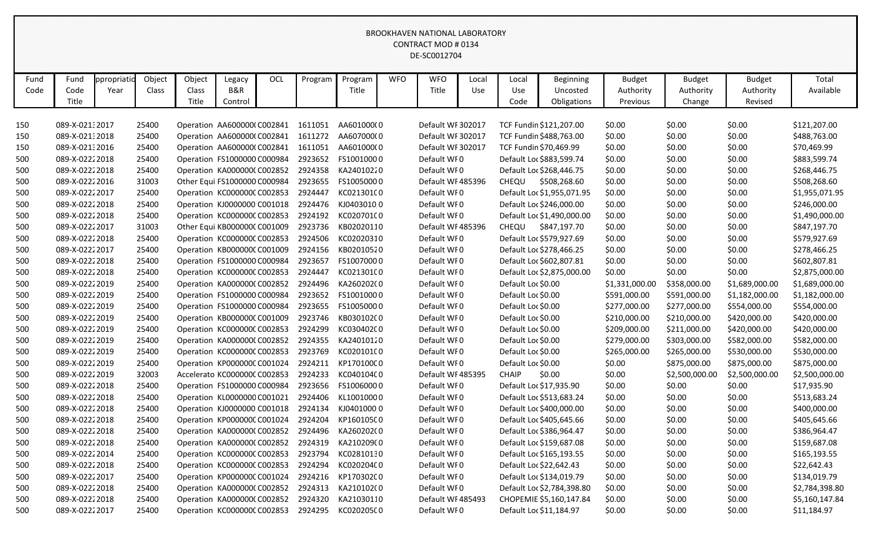| Fund | Fund           | ppropriatio | Object | Object | Legacy                       | OCL | Program | Program    | <b>WFO</b> | <b>WFO</b>        | Local | Local              | <b>Beginning</b>           | <b>Budget</b>  | <b>Budget</b>  | <b>Budget</b>  | Total          |
|------|----------------|-------------|--------|--------|------------------------------|-----|---------|------------|------------|-------------------|-------|--------------------|----------------------------|----------------|----------------|----------------|----------------|
| Code | Code           | Year        | Class  | Class  | B&R                          |     |         | Title      |            | Title             | Use   | Use                | Uncosted                   | Authority      | Authority      | Authority      | Available      |
|      | Title          |             |        | Title  | Control                      |     |         |            |            |                   |       | Code               | Obligations                | Previous       | Change         | Revised        |                |
|      |                |             |        |        |                              |     |         |            |            |                   |       |                    |                            |                |                |                |                |
| 150  | 089-X-02132017 |             | 25400  |        | Operation AA6000000 C002841  |     | 1611051 | AA601000(0 |            | Default WF 302017 |       |                    | TCF Fundin \$121,207.00    | \$0.00         | \$0.00         | \$0.00         | \$121,207.00   |
| 150  | 089-X-02132018 |             | 25400  |        | Operation AA600000(C002841   |     | 1611272 | AA607000(0 |            | Default WF 302017 |       |                    | TCF Fundin \$488,763.00    | \$0.00         | \$0.00         | \$0.00         | \$488,763.00   |
| 150  | 089-X-02132016 |             | 25400  |        | Operation AA600000(C002841   |     | 1611051 | AA601000(0 |            | Default WF 302017 |       |                    | TCF Fundin \$70,469.99     | \$0.00         | \$0.00         | \$0.00         | \$70,469.99    |
| 500  | 089-X-02222018 |             | 25400  |        | Operation FS1000000 C000984  |     | 2923652 | FS10010000 |            | Default WF0       |       |                    | Default Loc \$883,599.74   | \$0.00         | \$0.00         | \$0.00         | \$883,599.74   |
| 500  | 089-X-02222018 |             | 25400  |        | Operation KA0000000 C002852  |     | 2924358 | KA24010220 |            | Default WF0       |       |                    | Default Loc \$268,446.75   | \$0.00         | \$0.00         | \$0.00         | \$268,446.75   |
| 500  | 089-X-02222016 |             | 31003  |        | Other Equi FS1000000 C000984 |     | 2923655 | FS10050000 |            | Default WF485396  |       | CHEQU              | \$508,268.60               | \$0.00         | \$0.00         | \$0.00         | \$508,268.60   |
| 500  | 089-X-02222017 |             | 25400  |        | Operation KC000000C C002853  |     | 2924447 | KC021301C0 |            | Default WF0       |       |                    | Default Loc \$1,955,071.95 | \$0.00         | \$0.00         | \$0.00         | \$1,955,071.95 |
| 500  | 089-X-02222018 |             | 25400  |        | Operation KJ0000000 C001018  |     | 2924476 | KJ04030100 |            | Default WF0       |       |                    | Default Loc \$246,000.00   | \$0.00         | \$0.00         | \$0.00         | \$246,000.00   |
| 500  | 089-X-02222018 |             | 25400  |        | Operation KC000000C C002853  |     | 2924192 | KC02070100 |            | Default WF0       |       |                    | Default Loc \$1,490,000.00 | \$0.00         | \$0.00         | \$0.00         | \$1,490,000.00 |
| 500  | 089-X-02222017 |             | 31003  |        | Other Equi KB000000C C001009 |     | 2923736 | KB02020110 |            | Default WF485396  |       | CHEQU              | \$847,197.70               | \$0.00         | \$0.00         | \$0.00         | \$847,197.70   |
| 500  | 089-X-02222018 |             | 25400  |        | Operation KC000000C C002853  |     | 2924506 | KC02020310 |            | Default WF0       |       |                    | Default Loc \$579,927.69   | \$0.00         | \$0.00         | \$0.00         | \$579,927.69   |
| 500  | 089-X-02222017 |             | 25400  |        | Operation KB000000C C001009  |     | 2924156 | KB02010520 |            | Default WF0       |       |                    | Default Loc \$278,466.25   | \$0.00         | \$0.00         | \$0.00         | \$278,466.25   |
| 500  | 089-X-02222018 |             | 25400  |        | Operation FS1000000 C000984  |     | 2923657 | FS10070000 |            | Default WF0       |       |                    | Default Loc \$602,807.81   | \$0.00         | \$0.00         | \$0.00         | \$602,807.81   |
| 500  | 089-X-02222018 |             | 25400  |        | Operation KC000000C C002853  |     | 2924447 | KC021301C0 |            | Default WF0       |       |                    | Default Loc \$2,875,000.00 | \$0.00         | \$0.00         | \$0.00         | \$2,875,000.00 |
| 500  | 089-X-02222019 |             | 25400  |        | Operation KA000000C C002852  |     | 2924496 | KA26020200 |            | Default WF0       |       | Default Loc \$0.00 |                            | \$1,331,000.00 | \$358,000.00   | \$1,689,000.00 | \$1,689,000.00 |
| 500  | 089-X-02222019 |             | 25400  |        | Operation FS1000000 C000984  |     | 2923652 | FS10010000 |            | Default WF0       |       | Default Loc \$0.00 |                            | \$591,000.00   | \$591,000.00   | \$1,182,000.00 | \$1,182,000.00 |
| 500  | 089-X-02222019 |             | 25400  |        | Operation FS1000000 C000984  |     | 2923655 | FS10050000 |            | Default WF0       |       | Default Loc \$0.00 |                            | \$277,000.00   | \$277,000.00   | \$554,000.00   | \$554,000.00   |
| 500  | 089-X-02222019 |             | 25400  |        | Operation KB000000C C001009  |     | 2923746 | KB030102C0 |            | Default WF0       |       | Default Loc \$0.00 |                            | \$210,000.00   | \$210,000.00   | \$420,000.00   | \$420,000.00   |
| 500  | 089-X-02222019 |             | 25400  |        | Operation KC000000C C002853  |     | 2924299 | KC030402C0 |            | Default WF0       |       | Default Loc \$0.00 |                            | \$209,000.00   | \$211,000.00   | \$420,000.00   | \$420,000.00   |
| 500  | 089-X-02222019 |             | 25400  |        | Operation KA000000C C002852  |     | 2924355 | KA24010120 |            | Default WF0       |       | Default Loc \$0.00 |                            | \$279,000.00   | \$303,000.00   | \$582,000.00   | \$582,000.00   |
| 500  | 089-X-02222019 |             | 25400  |        | Operation KC000000C C002853  |     | 2923769 | KC02010100 |            | Default WF0       |       | Default Loc \$0.00 |                            | \$265,000.00   | \$265,000.00   | \$530,000.00   | \$530,000.00   |
| 500  | 089-X-02222019 |             | 25400  |        | Operation KP000000C C001024  |     | 2924211 | KP170100C0 |            | Default WF0       |       | Default Loc \$0.00 |                            | \$0.00         | \$875,000.00   | \$875,000.00   | \$875,000.00   |
| 500  | 089-X-02222019 |             | 32003  |        | Accelerato KC000000C C002853 |     | 2924233 | KC04010400 |            | Default WF 485395 |       | <b>CHAIP</b>       | \$0.00                     | \$0.00         | \$2,500,000.00 | \$2,500,000.00 | \$2,500,000.00 |
| 500  | 089-X-02222018 |             | 25400  |        | Operation FS1000000 C000984  |     | 2923656 | FS10060000 |            | Default WF0       |       |                    | Default Loc \$17,935.90    | \$0.00         | \$0.00         | \$0.00         | \$17,935.90    |
| 500  | 089-X-02222018 |             | 25400  |        | Operation KL0000000 C001021  |     | 2924406 | KL10010000 |            | Default WF0       |       |                    | Default Loc \$513,683.24   | \$0.00         | \$0.00         | \$0.00         | \$513,683.24   |
| 500  | 089-X-02222018 |             | 25400  |        | Operation KJ0000000 C001018  |     | 2924134 | KJ04010000 |            | Default WF0       |       |                    | Default Loc \$400,000.00   | \$0.00         | \$0.00         | \$0.00         | \$400,000.00   |
| 500  | 089-X-02222018 |             | 25400  |        | Operation KP000000C C001024  |     | 2924204 | KP160105C0 |            | Default WI0       |       |                    | Default Loc \$405,645.66   | \$0.00         | \$0.00         | \$0.00         | \$405,645.66   |
| 500  | 089-X-02222018 |             | 25400  |        | Operation KA0000000 C002852  |     | 2924496 | KA26020200 |            | Default WF0       |       |                    | Default Loc \$386,964.47   | \$0.00         | \$0.00         | \$0.00         | \$386,964.47   |
| 500  | 089-X-02222018 |             | 25400  |        | Operation KA0000000 C002852  |     | 2924319 | KA210209(0 |            | Default WF0       |       |                    | Default Loc \$159,687.08   | \$0.00         | \$0.00         | \$0.00         | \$159,687.08   |
| 500  | 089-X-02222014 |             | 25400  |        | Operation KC000000CC002853   |     | 2923794 | KC02810130 |            | Default WF0       |       |                    | Default Loc \$165,193.55   | \$0.00         | \$0.00         | \$0.00         | \$165,193.55   |
| 500  | 089-X-02222018 |             | 25400  |        | Operation KC000000CC002853   |     | 2924294 | KC020204C0 |            | Default WF0       |       |                    | Default Loc \$22,642.43    | \$0.00         | \$0.00         | \$0.00         | \$22,642.43    |
| 500  | 089-X-02222017 |             | 25400  |        | Operation KP000000C C001024  |     | 2924216 | KP170302C0 |            | Default WF0       |       |                    | Default Loc \$134,019.79   | \$0.00         | \$0.00         | \$0.00         | \$134,019.79   |
| 500  | 089-X-02222018 |             | 25400  |        | Operation KA0000000 C002852  |     | 2924313 | KA210102(0 |            | Default WF0       |       |                    | Default Loc \$2,784,398.80 | \$0.00         | \$0.00         | \$0.00         | \$2,784,398.80 |
| 500  | 089-X-02222018 |             | 25400  |        | Operation KA0000000 C002852  |     | 2924320 | KA21030110 |            | Default WF 485493 |       |                    | CHOPEMIE \$5,160,147.84    | \$0.00         | \$0.00         | \$0.00         | \$5,160,147.84 |
| 500  | 089-X-02222017 |             | 25400  |        | Operation KC000000CC002853   |     | 2924295 | KC020205C0 |            | Default WF0       |       |                    | Default Loc \$11,184.97    | \$0.00         | \$0.00         | \$0.00         | \$11,184.97    |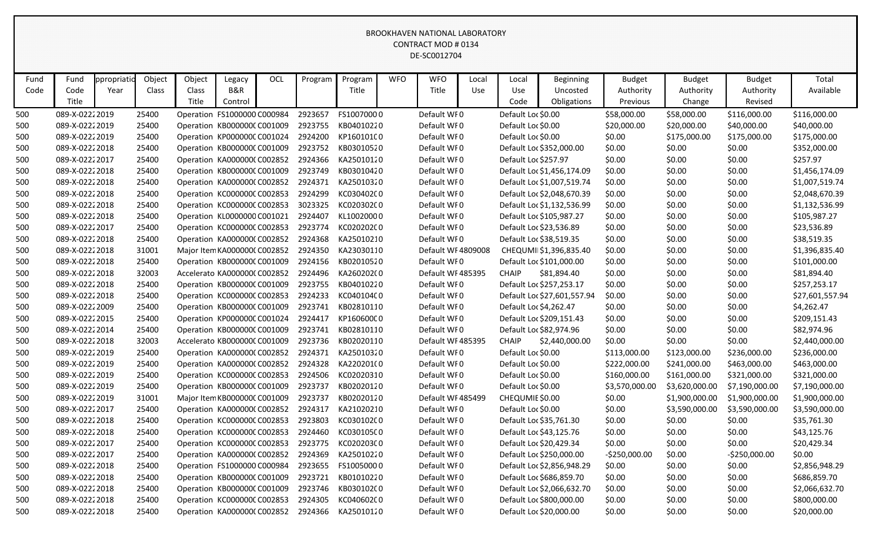| Fund | Fund           | ppropriatic | Object | Object | Legacy                       | OCL | Program | Program    | <b>WFO</b> | <b>WFO</b>         | Local | Local                | Beginning                   | <b>Budget</b>  | <b>Budget</b>  | <b>Budget</b>  | Total           |
|------|----------------|-------------|--------|--------|------------------------------|-----|---------|------------|------------|--------------------|-------|----------------------|-----------------------------|----------------|----------------|----------------|-----------------|
| Code | Code           | Year        | Class  | Class  | <b>B&amp;R</b>               |     |         | Title      |            | Title              | Use   | Use                  | Uncosted                    | Authority      | Authority      | Authority      | Available       |
|      | Title          |             |        | Title  | Control                      |     |         |            |            |                    |       | Code                 | Obligations                 | Previous       | Change         | Revised        |                 |
| 500  | 089-X-02222019 |             | 25400  |        | Operation FS1000000 C000984  |     | 2923657 | FS10070000 |            | Default WF0        |       | Default Loc \$0.00   |                             | \$58,000.00    | \$58,000.00    | \$116,000.00   | \$116,000.00    |
| 500  | 089-X-02222019 |             | 25400  |        | Operation KB000000C C001009  |     | 2923755 | KB04010220 |            | Default WI0        |       | Default Loc \$0.00   |                             | \$20,000.00    | \$20,000.00    | \$40,000.00    | \$40,000.00     |
| 500  | 089-X-02222019 |             | 25400  |        | Operation KP000000C C001024  |     | 2924200 | KP160101C0 |            | Default WI0        |       | Default Loc \$0.00   |                             | \$0.00         | \$175,000.00   | \$175,000.00   | \$175,000.00    |
| 500  | 089-X-02222018 |             | 25400  |        | Operation KB000000C C001009  |     | 2923752 | KB03010520 |            | Default WF0        |       |                      | Default Loc \$352,000.00    | \$0.00         | \$0.00         | \$0.00         | \$352,000.00    |
| 500  | 089-X-02222017 |             | 25400  |        | Operation KA0000000 C002852  |     | 2924366 | KA25010120 |            | Default WF0        |       | Default Loc \$257.97 |                             | \$0.00         | \$0.00         | \$0.00         | \$257.97        |
| 500  | 089-X-02222018 |             | 25400  |        | Operation KB000000C C001009  |     | 2923749 | KB03010420 |            | Default WF0        |       |                      | Default Loc \$1,456,174.09  | \$0.00         | \$0.00         | \$0.00         | \$1,456,174.09  |
| 500  | 089-X-02222018 |             | 25400  |        | Operation KA000000C C002852  |     | 2924371 | KA25010320 |            | Default WF0        |       |                      | Default Loc \$1,007,519.74  | \$0.00         | \$0.00         | \$0.00         | \$1,007,519.74  |
| 500  | 089-X-02222018 |             | 25400  |        | Operation KC000000C C002853  |     | 2924299 | KC030402C0 |            | Default WF0        |       |                      | Default Loc \$2,048,670.39  | \$0.00         | \$0.00         | \$0.00         | \$2,048,670.39  |
| 500  | 089-X-02222018 |             | 25400  |        | Operation KC000000C C002853  |     | 3023325 | KC020302C0 |            | Default WF0        |       |                      | Default Loc \$1,132,536.99  | \$0.00         | \$0.00         | \$0.00         | \$1,132,536.99  |
| 500  | 089-X-02222018 |             | 25400  |        | Operation KL0000000 C001021  |     | 2924407 | KL10020000 |            | Default WF0        |       |                      | Default Loc \$105,987.27    | \$0.00         | \$0.00         | \$0.00         | \$105,987.27    |
| 500  | 089-X-02222017 |             | 25400  |        | Operation KC000000C C002853  |     | 2923774 | KC020202C0 |            | Default WF0        |       |                      | Default Loc \$23,536.89     | \$0.00         | \$0.00         | \$0.00         | \$23,536.89     |
| 500  | 089-X-02222018 |             | 25400  |        | Operation KA0000000 C002852  |     | 2924368 | KA25010210 |            | Default WF0        |       |                      | Default Loc \$38,519.35     | \$0.00         | \$0.00         | \$0.00         | \$38,519.35     |
| 500  | 089-X-02222018 |             | 31001  |        | Major Item KA0000000 C002852 |     | 2924350 | KA23030110 |            | Default WF 4809008 |       |                      | CHEQUMI \$1,396,835.40      | \$0.00         | \$0.00         | \$0.00         | \$1,396,835.40  |
| 500  | 089-X-02222018 |             | 25400  |        | Operation KB000000C C001009  |     | 2924156 | KB02010520 |            | Default WF0        |       |                      | Default Loc \$101,000.00    | \$0.00         | \$0.00         | \$0.00         | \$101,000.00    |
| 500  | 089-X-02222018 |             | 32003  |        | Accelerato KA0000000 C002852 |     | 2924496 | KA26020200 |            | Default WF485395   |       | <b>CHAIP</b>         | \$81,894.40                 | \$0.00         | \$0.00         | \$0.00         | \$81,894.40     |
| 500  | 089-X-02222018 |             | 25400  |        | Operation KB000000C C001009  |     | 2923755 | KB04010220 |            | Default WF0        |       |                      | Default Loc \$257,253.17    | \$0.00         | \$0.00         | \$0.00         | \$257,253.17    |
| 500  | 089-X-02222018 |             | 25400  |        | Operation KC000000C C002853  |     | 2924233 | KC04010400 |            | Default WF0        |       |                      | Default Loc \$27,601,557.94 | \$0.00         | \$0.00         | \$0.00         | \$27,601,557.94 |
| 500  | 089-X-02222009 |             | 25400  |        | Operation KB000000C C001009  |     | 2923741 | KB02810110 |            | Default WF0        |       |                      | Default Loc \$4,262.47      | \$0.00         | \$0.00         | \$0.00         | \$4,262.47      |
| 500  | 089-X-02222015 |             | 25400  |        | Operation KP000000C C001024  |     | 2924417 | KP160600C0 |            | Default WF0        |       |                      | Default Loc \$209,151.43    | \$0.00         | \$0.00         | \$0.00         | \$209,151.43    |
| 500  | 089-X-02222014 |             | 25400  |        | Operation KB000000C C001009  |     | 2923741 | KB02810110 |            | Default WF0        |       |                      | Default Loc \$82,974.96     | \$0.00         | \$0.00         | \$0.00         | \$82,974.96     |
| 500  | 089-X-02222018 |             | 32003  |        | Accelerato KB000000C C001009 |     | 2923736 | KB02020110 |            | Default WF485395   |       | <b>CHAIP</b>         | \$2,440,000.00              | \$0.00         | \$0.00         | \$0.00         | \$2,440,000.00  |
| 500  | 089-X-02222019 |             | 25400  |        | Operation KA0000000 C002852  |     | 2924371 | KA25010320 |            | Default WF0        |       | Default Loc \$0.00   |                             | \$113,000.00   | \$123,000.00   | \$236,000.00   | \$236,000.00    |
| 500  | 089-X-02222019 |             | 25400  |        | Operation KA000000C C002852  |     | 2924328 | KA220201(0 |            | Default WF0        |       | Default Loc \$0.00   |                             | \$222,000.00   | \$241,000.00   | \$463,000.00   | \$463,000.00    |
| 500  | 089-X-02222019 |             | 25400  |        | Operation KC000000C C002853  |     | 2924506 | KC02020310 |            | Default WF0        |       | Default Loc \$0.00   |                             | \$160,000.00   | \$161,000.00   | \$321,000.00   | \$321,000.00    |
| 500  | 089-X-02222019 |             | 25400  |        | Operation KB000000C C001009  |     | 2923737 | KB02020120 |            | Default WI0        |       | Default Loc \$0.00   |                             | \$3,570,000.00 | \$3,620,000.00 | \$7,190,000.00 | \$7,190,000.00  |
| 500  | 089-X-02222019 |             | 31001  |        | Major Item KB000000C C001009 |     | 2923737 | KB02020120 |            | Default WF 485499  |       | CHEQUMIE \$0.00      |                             | \$0.00         | \$1,900,000.00 | \$1,900,000.00 | \$1,900,000.00  |
| 500  | 089-X-02222017 |             | 25400  |        | Operation KA000000C C002852  |     | 2924317 | KA21020210 |            | Default WF0        |       | Default Loc \$0.00   |                             | \$0.00         | \$3,590,000.00 | \$3,590,000.00 | \$3,590,000.00  |
| 500  | 089-X-02222018 |             | 25400  |        | Operation KC000000C C002853  |     | 2923803 | KC03010200 |            | Default WF0        |       |                      | Default Loc \$35,761.30     | \$0.00         | \$0.00         | \$0.00         | \$35,761.30     |
| 500  | 089-X-02222018 |             | 25400  |        | Operation KC000000C C002853  |     | 2924460 | KC030105C0 |            | Default WF0        |       |                      | Default Loc \$43,125.76     | \$0.00         | \$0.00         | \$0.00         | \$43,125.76     |
| 500  | 089-X-02222017 |             | 25400  |        | Operation KC000000CC002853   |     | 2923775 | KC020203C0 |            | Default WF0        |       |                      | Default Loc \$20,429.34     | \$0.00         | \$0.00         | \$0.00         | \$20,429.34     |
| 500  | 089-X-02222017 |             | 25400  |        | Operation KA0000000 C002852  |     | 2924369 | KA25010220 |            | Default WF0        |       |                      | Default Loc \$250,000.00    | $-$250,000.00$ | \$0.00         | $-$250,000.00$ | \$0.00          |
| 500  | 089-X-02222018 |             | 25400  |        | Operation FS1000000 C000984  |     | 2923655 | FS10050000 |            | Default WF0        |       |                      | Default Loc \$2,856,948.29  | \$0.00         | \$0.00         | \$0.00         | \$2,856,948.29  |
| 500  | 089-X-02222018 |             | 25400  |        | Operation KB000000C C001009  |     | 2923721 | KB01010220 |            | Default WF0        |       |                      | Default Loc \$686,859.70    | \$0.00         | \$0.00         | \$0.00         | \$686,859.70    |
| 500  | 089-X-02222018 |             | 25400  |        | Operation KB000000C C001009  |     | 2923746 | KB030102C0 |            | Default WF0        |       |                      | Default Loc \$2,066,632.70  | \$0.00         | \$0.00         | \$0.00         | \$2,066,632.70  |
| 500  | 089-X-02222018 |             | 25400  |        | Operation KC000000CC002853   |     | 2924305 | KC04060200 |            | Default WF0        |       |                      | Default Loc \$800,000.00    | \$0.00         | \$0.00         | \$0.00         | \$800,000.00    |
| 500  | 089-X-02222018 |             | 25400  |        | Operation KA000000CC002852   |     | 2924366 | KA25010120 |            | Default WF0        |       |                      | Default Loc \$20,000.00     | \$0.00         | \$0.00         | \$0.00         | \$20,000.00     |
|      |                |             |        |        |                              |     |         |            |            |                    |       |                      |                             |                |                |                |                 |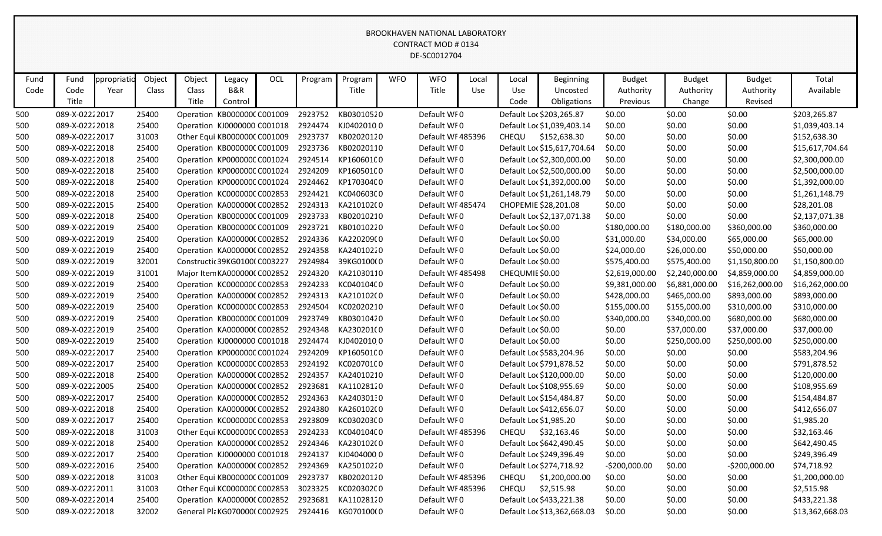| Fund | Fund            | ppropriatio | Object | Object | Legacy                        | OCL | Program | Program    | <b>WFO</b> | <b>WFO</b>        | Local | Local              | <b>Beginning</b>            | <b>Budget</b>  | <b>Budget</b>  | <b>Budget</b>   | Total           |
|------|-----------------|-------------|--------|--------|-------------------------------|-----|---------|------------|------------|-------------------|-------|--------------------|-----------------------------|----------------|----------------|-----------------|-----------------|
| Code | Code            | Year        | Class  | Class  | <b>B&amp;R</b>                |     |         | Title      |            | Title             | Use   | Use                | Uncosted                    | Authority      | Authority      | Authority       | Available       |
|      | Title           |             |        | Title  | Control                       |     |         |            |            |                   |       | Code               | Obligations                 | Previous       | Change         | Revised         |                 |
| 500  | 089-X-02222017  |             | 25400  |        | Operation KB000000C C001009   |     | 2923752 | KB03010520 |            | Default WF0       |       |                    | Default Loc \$203,265.87    | \$0.00         | \$0.00         | \$0.00          | \$203,265.87    |
| 500  | 089-X-02222018  |             | 25400  |        | Operation KJ0000000 C001018   |     | 2924474 | KJ04020100 |            | Default WF0       |       |                    | Default Loc \$1,039,403.14  | \$0.00         | \$0.00         | \$0.00          | \$1,039,403.14  |
| 500  | 089-X-02222017  |             | 31003  |        | Other Equi KB000000C C001009  |     | 2923737 | KB02020120 |            | Default WF485396  |       | <b>CHEQU</b>       | \$152,638.30                | \$0.00         | \$0.00         | \$0.00          | \$152,638.30    |
| 500  | 089-X-02222018  |             | 25400  |        | Operation KB000000C C001009   |     | 2923736 | KB02020110 |            | Default WF0       |       |                    | Default Loc \$15,617,704.64 | \$0.00         | \$0.00         | \$0.00          | \$15,617,704.64 |
| 500  | 089-X-02222018  |             | 25400  |        | Operation KP000000C C001024   |     | 2924514 | KP160601C0 |            | Default WF0       |       |                    | Default Loc \$2,300,000.00  | \$0.00         | \$0.00         | \$0.00          | \$2,300,000.00  |
| 500  | 089-X-02222018  |             | 25400  |        | Operation KP000000C C001024   |     | 2924209 | KP160501C0 |            | Default WF0       |       |                    | Default Loc \$2,500,000.00  | \$0.00         | \$0.00         | \$0.00          | \$2,500,000.00  |
| 500  | 089-X-02222018  |             | 25400  |        | Operation KP000000C C001024   |     | 2924462 | KP170304C0 |            | Default WF0       |       |                    | Default Loc \$1,392,000.00  | \$0.00         | \$0.00         | \$0.00          | \$1,392,000.00  |
| 500  | 089-X-02222018  |             | 25400  |        | Operation KC000000C C002853   |     | 2924421 | KC040603C0 |            | Default WF0       |       |                    | Default Loc \$1,261,148.79  | \$0.00         | \$0.00         | \$0.00          | \$1,261,148.79  |
| 500  | 089-X-02222015  |             | 25400  |        | Operation KA0000000 C002852   |     | 2924313 | KA210102(0 |            | Default WF 485474 |       |                    | CHOPEMIE \$28,201.08        | \$0.00         | \$0.00         | \$0.00          | \$28,201.08     |
| 500  | 089-X-02222018  |             | 25400  |        | Operation KB000000C C001009   |     | 2923733 | KB02010210 |            | Default WF0       |       |                    | Default Loc \$2,137,071.38  | \$0.00         | \$0.00         | \$0.00          | \$2,137,071.38  |
| 500  | 089-X-02222019  |             | 25400  |        | Operation KB000000C C001009   |     | 2923721 | KB01010220 |            | Default WF0       |       | Default Loc \$0.00 |                             | \$180,000.00   | \$180,000.00   | \$360,000.00    | \$360,000.00    |
| 500  | 089-X-02222019  |             | 25400  |        | Operation KA000000C C002852   |     | 2924336 | KA220209(0 |            | Default WF0       |       | Default Loc \$0.00 |                             | \$31,000.00    | \$34,000.00    | \$65,000.00     | \$65,000.00     |
| 500  | 089-X-02222019  |             | 25400  |        | Operation KA0000000 C002852   |     | 2924358 | KA24010220 |            | Default WF0       |       | Default Loc \$0.00 |                             | \$24,000.00    | \$26,000.00    | \$50,000.00     | \$50,000.00     |
| 500  | 089-X-02222019  |             | 32001  |        | Constructic 39KG0100(C003227  |     | 2924984 | 39KG0100(0 |            | Default WF0       |       | Default Loc \$0.00 |                             | \$575,400.00   | \$575,400.00   | \$1,150,800.00  | \$1,150,800.00  |
| 500  | 089-X-02222019  |             | 31001  |        | Major Item KA0000000 C002852  |     | 2924320 | KA21030110 |            | Default WF485498  |       | CHEQUMIE \$0.00    |                             | \$2,619,000.00 | \$2,240,000.00 | \$4,859,000.00  | \$4,859,000.00  |
| 500  | 089-X-02222019  |             | 25400  |        | Operation KC000000C C002853   |     | 2924233 | KC04010400 |            | Default WF0       |       | Default Loc \$0.00 |                             | \$9,381,000.00 | \$6,881,000.00 | \$16,262,000.00 | \$16,262,000.00 |
| 500  | 089-X-02222019  |             | 25400  |        | Operation KA000000CC002852    |     | 2924313 | KA210102(0 |            | Default WF0       |       | Default Loc \$0.00 |                             | \$428,000.00   | \$465,000.00   | \$893,000.00    | \$893,000.00    |
| 500  | 089-X-02222019  |             | 25400  |        | Operation KC000000C C002853   |     | 2924504 | KC02020210 |            | Default WF0       |       | Default Loc \$0.00 |                             | \$155,000.00   | \$155,000.00   | \$310,000.00    | \$310,000.00    |
| 500  | 089-X-02222019  |             | 25400  |        | Operation KB000000C C001009   |     | 2923749 | KB03010420 |            | Default WF0       |       | Default Loc \$0.00 |                             | \$340,000.00   | \$340,000.00   | \$680,000.00    | \$680,000.00    |
| 500  | 089-X-02222019  |             | 25400  |        | Operation KA0000000 C002852   |     | 2924348 | KA230201(0 |            | Default WF0       |       | Default Loc \$0.00 |                             | \$0.00         | \$37,000.00    | \$37,000.00     | \$37,000.00     |
| 500  | 089-X-02222019  |             | 25400  |        | Operation KJ0000000 C001018   |     | 2924474 | KJ04020100 |            | Default WF0       |       | Default Loc \$0.00 |                             | \$0.00         | \$250,000.00   | \$250,000.00    | \$250,000.00    |
| 500  | 089-X-02222017  |             | 25400  |        | Operation KP000000C C001024   |     | 2924209 | KP160501C0 |            | Default WF0       |       |                    | Default Loc \$583,204.96    | \$0.00         | \$0.00         | \$0.00          | \$583,204.96    |
| 500  | 089-X-02222017  |             | 25400  |        | Operation KC000000C C002853   |     | 2924192 | KC02070100 |            | Default WF0       |       |                    | Default Loc \$791,878.52    | \$0.00         | \$0.00         | \$0.00          | \$791,878.52    |
| 500  | 089-X-02222018  |             | 25400  |        | Operation KA0000000 C002852   |     | 2924357 | KA24010210 |            | Default WF0       |       |                    | Default Loc \$120,000.00    | \$0.00         | \$0.00         | \$0.00          | \$120,000.00    |
| 500  | 089-X-0222 2005 |             | 25400  |        | Operation KA000000C C002852   |     | 2923681 | KA11028120 |            | Default WF0       |       |                    | Default Loc \$108,955.69    | \$0.00         | \$0.00         | \$0.00          | \$108,955.69    |
| 500  | 089-X-02222017  |             | 25400  |        | Operation KA0000000 C002852   |     | 2924363 | KA24030130 |            | Default WF0       |       |                    | Default Loc \$154,484.87    | \$0.00         | \$0.00         | \$0.00          | \$154,484.87    |
| 500  | 089-X-02222018  |             | 25400  |        | Operation KA000000C C002852   |     | 2924380 | KA260102(0 |            | Default WF0       |       |                    | Default Loc \$412,656.07    | \$0.00         | \$0.00         | \$0.00          | \$412,656.07    |
| 500  | 089-X-02222017  |             | 25400  |        | Operation KC000000C C002853   |     | 2923809 | KC03020300 |            | Default WF0       |       |                    | Default Loc \$1,985.20      | \$0.00         | \$0.00         | \$0.00          | \$1,985.20      |
| 500  | 089-X-02222018  |             | 31003  |        | Other Equi KC000000C C002853  |     | 2924233 | KC04010400 |            | Default WF485396  |       | CHEQU              | \$32,163.46                 | \$0.00         | \$0.00         | \$0.00          | \$32,163.46     |
| 500  | 089-X-02222018  |             | 25400  |        | Operation KA0000000 C002852   |     | 2924346 | KA230102(0 |            | Default WF0       |       |                    | Default Loc \$642,490.45    | \$0.00         | \$0.00         | \$0.00          | \$642,490.45    |
| 500  | 089-X-02222017  |             | 25400  |        | Operation KJ0000000 C001018   |     | 2924137 | KJ04040000 |            | Default WF0       |       |                    | Default Loc \$249,396.49    | \$0.00         | \$0.00         | \$0.00          | \$249,396.49    |
| 500  | 089-X-02222016  |             | 25400  |        | Operation KA0000000 C002852   |     | 2924369 | KA25010220 |            | Default WF0       |       |                    | Default Loc \$274,718.92    | $-$200,000.00$ | \$0.00         | $-$200,000.00$  | \$74,718.92     |
| 500  | 089-X-02222018  |             | 31003  |        | Other Equi KB000000C C001009  |     | 2923737 | KB02020120 |            | Default WF485396  |       | CHEQU              | \$1,200,000.00              | \$0.00         | \$0.00         | \$0.00          | \$1,200,000.00  |
| 500  | 089-X-02222011  |             | 31003  |        | Other Equi KC000000C C002853  |     | 3023325 | KC020302C0 |            | Default WF485396  |       | CHEQU              | \$2,515.98                  | \$0.00         | \$0.00         | \$0.00          | \$2,515.98      |
| 500  | 089-X-02222014  |             | 25400  |        | Operation KA000000C C002852   |     | 2923681 | KA11028120 |            | Default WF0       |       |                    | Default Loc \$433,221.38    | \$0.00         | \$0.00         | \$0.00          | \$433,221.38    |
| 500  | 089-X-02222018  |             | 32002  |        | General Pla KG0700000 C002925 |     | 2924416 | KG070100(0 |            | Default WF0       |       |                    | Default Loc \$13,362,668.03 | \$0.00         | \$0.00         | \$0.00          | \$13,362,668.03 |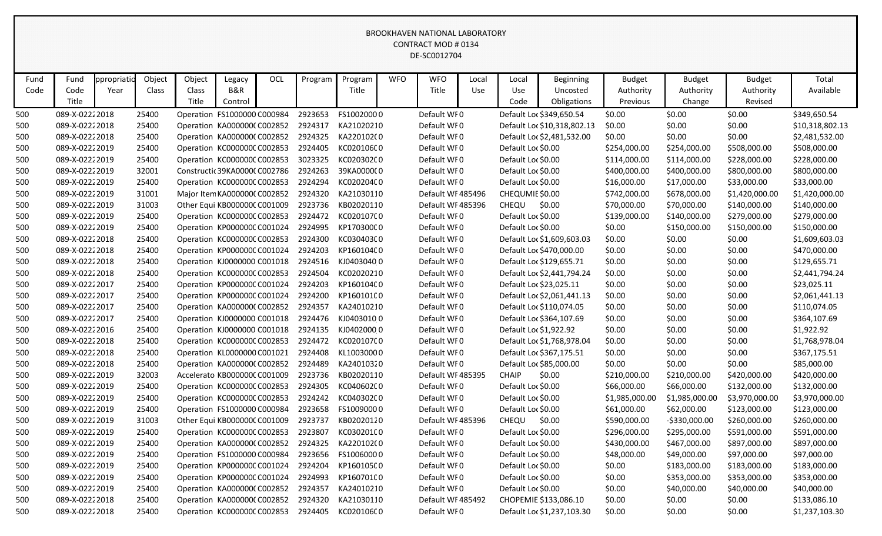| Fund | Fund           | ppropriatio | Object | Object | Legacy                        | OCL | Program | Program    | <b>WFO</b> | <b>WFO</b>        | Local      | Local              | <b>Beginning</b>            | <b>Budget</b>  | <b>Budget</b>  | <b>Budget</b>  | Total           |
|------|----------------|-------------|--------|--------|-------------------------------|-----|---------|------------|------------|-------------------|------------|--------------------|-----------------------------|----------------|----------------|----------------|-----------------|
| Code | Code           | Year        | Class  | Class  | <b>B&amp;R</b>                |     |         | Title      |            | Title             | <b>Use</b> | Use                | Uncosted                    | Authority      | Authority      | Authority      | Available       |
|      | Title          |             |        | Title  | Control                       |     |         |            |            |                   |            | Code               | Obligations                 | Previous       | Change         | Revised        |                 |
| 500  | 089-X-02222018 |             | 25400  |        | Operation FS1000000 C000984   |     | 2923653 | FS10020000 |            | Default WF0       |            |                    | Default Loc \$349,650.54    | \$0.00         | \$0.00         | \$0.00         | \$349,650.54    |
| 500  | 089-X-02222018 |             | 25400  |        | Operation KA0000000 C002852   |     | 2924317 | KA21020210 |            | Default WF0       |            |                    | Default Loc \$10,318,802.13 | \$0.00         | \$0.00         | \$0.00         | \$10,318,802.13 |
| 500  | 089-X-02222018 |             | 25400  |        | Operation KA000000C C002852   |     | 2924325 | KA220102(0 |            | Default WF0       |            |                    | Default Loc \$2,481,532.00  | \$0.00         | \$0.00         | \$0.00         | \$2,481,532.00  |
| 500  | 089-X-02222019 |             | 25400  |        | Operation KC000000CC002853    |     | 2924405 | KC02010600 |            | Default WF0       |            | Default Loc \$0.00 |                             | \$254,000.00   | \$254,000.00   | \$508,000.00   | \$508,000.00    |
| 500  | 089-X-02222019 |             | 25400  |        | Operation KC000000C C002853   |     | 3023325 | KC02030200 |            | Default WF0       |            | Default Loc \$0.00 |                             | \$114,000.00   | \$114,000.00   | \$228,000.00   | \$228,000.00    |
| 500  | 089-X-02222019 |             | 32001  |        | Constructic 39KA00000 C002786 |     | 2924263 | 39KA000000 |            | Default WF0       |            | Default Loc \$0.00 |                             | \$400,000.00   | \$400,000.00   | \$800,000.00   | \$800,000.00    |
| 500  | 089-X-02222019 |             | 25400  |        | Operation KC000000C C002853   |     | 2924294 | KC02020400 |            | Default WF0       |            | Default Loc \$0.00 |                             | \$16,000.00    | \$17,000.00    | \$33,000.00    | \$33,000.00     |
| 500  | 089-X-02222019 |             | 31001  |        | Major Item KA0000000 C002852  |     | 2924320 | KA21030110 |            | Default WF485496  |            | CHEQUMIE \$0.00    |                             | \$742,000.00   | \$678,000.00   | \$1,420,000.00 | \$1,420,000.00  |
| 500  | 089-X-02222019 |             | 31003  |        | Other Equi KB000000C C001009  |     | 2923736 | KB02020110 |            | Default WF 485396 |            | CHEQU              | \$0.00                      | \$70,000.00    | \$70,000.00    | \$140,000.00   | \$140,000.00    |
| 500  | 089-X-02222019 |             | 25400  |        | Operation KC000000C C002853   |     | 2924472 | KC02010700 |            | Default WF0       |            | Default Loc \$0.00 |                             | \$139,000.00   | \$140,000.00   | \$279,000.00   | \$279,000.00    |
| 500  | 089-X-02222019 |             | 25400  |        | Operation KP000000C C001024   |     | 2924995 | KP170300C0 |            | Default WF0       |            | Default Loc \$0.00 |                             | \$0.00         | \$150,000.00   | \$150,000.00   | \$150,000.00    |
| 500  | 089-X-02222018 |             | 25400  |        | Operation KC000000C C002853   |     | 2924300 | KC03040300 |            | Default WF0       |            |                    | Default Loc \$1,609,603.03  | \$0.00         | \$0.00         | \$0.00         | \$1,609,603.03  |
| 500  | 089-X-02222018 |             | 25400  |        | Operation KP000000C C001024   |     | 2924203 | KP160104C0 |            | Default WF0       |            |                    | Default Loc \$470,000.00    | \$0.00         | \$0.00         | \$0.00         | \$470,000.00    |
| 500  | 089-X-02222018 |             | 25400  |        | Operation KJ0000000 C001018   |     | 2924516 | KJ04030400 |            | Default WF0       |            |                    | Default Loc \$129,655.71    | \$0.00         | \$0.00         | \$0.00         | \$129,655.71    |
| 500  | 089-X-02222018 |             | 25400  |        | Operation KC000000C C002853   |     | 2924504 | KC02020210 |            | Default WF0       |            |                    | Default Loc \$2,441,794.24  | \$0.00         | \$0.00         | \$0.00         | \$2,441,794.24  |
| 500  | 089-X-02222017 |             | 25400  |        | Operation KP000000C C001024   |     | 2924203 | KP160104C0 |            | Default WF0       |            |                    | Default Loc \$23,025.11     | \$0.00         | \$0.00         | \$0.00         | \$23,025.11     |
| 500  | 089-X-02222017 |             | 25400  |        | Operation KP000000C C001024   |     | 2924200 | KP16010100 |            | Default WF0       |            |                    | Default Loc \$2,061,441.13  | \$0.00         | \$0.00         | \$0.00         | \$2,061,441.13  |
| 500  | 089-X-02222017 |             | 25400  |        | Operation KA0000000 C002852   |     | 2924357 | KA24010210 |            | Default WF0       |            |                    | Default Loc \$110,074.05    | \$0.00         | \$0.00         | \$0.00         | \$110,074.05    |
| 500  | 089-X-02222017 |             | 25400  |        | Operation KJ0000000 C001018   |     | 2924476 | KJ04030100 |            | Default WF0       |            |                    | Default Loc \$364,107.69    | \$0.00         | \$0.00         | \$0.00         | \$364,107.69    |
| 500  | 089-X-02222016 |             | 25400  |        | Operation KJ0000000 C001018   |     | 2924135 | KJ04020000 |            | Default WF0       |            |                    | Default Loc \$1,922.92      | \$0.00         | \$0.00         | \$0.00         | \$1,922.92      |
| 500  | 089-X-02222018 |             | 25400  |        | Operation KC000000C C002853   |     | 2924472 | KC02010700 |            | Default WF0       |            |                    | Default Loc \$1,768,978.04  | \$0.00         | \$0.00         | \$0.00         | \$1,768,978.04  |
| 500  | 089-X-02222018 |             | 25400  |        | Operation KL0000000 C001021   |     | 2924408 | KL10030000 |            | Default WF0       |            |                    | Default Loc \$367,175.51    | \$0.00         | \$0.00         | \$0.00         | \$367,175.51    |
| 500  | 089-X-02222018 |             | 25400  |        | Operation KA0000000 C002852   |     | 2924489 | KA24010320 |            | Default WF0       |            |                    | Default Loc \$85,000.00     | \$0.00         | \$0.00         | \$0.00         | \$85,000.00     |
| 500  | 089-X-02222019 |             | 32003  |        | Accelerato KB000000C C001009  |     | 2923736 | KB02020110 |            | Default WF485395  |            | <b>CHAIP</b>       | \$0.00                      | \$210,000.00   | \$210,000.00   | \$420,000.00   | \$420,000.00    |
| 500  | 089-X-02222019 |             | 25400  |        | Operation KC000000C C002853   |     | 2924305 | KC04060200 |            | Default WF0       |            | Default Loc \$0.00 |                             | \$66,000.00    | \$66,000.00    | \$132,000.00   | \$132,000.00    |
| 500  | 089-X-02222019 |             | 25400  |        | Operation KC000000C C002853   |     | 2924242 | KC04030200 |            | Default WF0       |            | Default Loc \$0.00 |                             | \$1,985,000.00 | \$1,985,000.00 | \$3,970,000.00 | \$3,970,000.00  |
| 500  | 089-X-02222019 |             | 25400  |        | Operation FS1000000 C000984   |     | 2923658 | FS10090000 |            | Default WI0       |            | Default Loc \$0.00 |                             | \$61,000.00    | \$62,000.00    | \$123,000.00   | \$123,000.00    |
| 500  | 089-X-02222019 |             | 31003  |        | Other Equi KB000000C C001009  |     | 2923737 | KB02020120 |            | Default WF485396  |            | CHEQU              | \$0.00                      | \$590,000.00   | $-5330,000.00$ | \$260,000.00   | \$260,000.00    |
| 500  | 089-X-02222019 |             | 25400  |        | Operation KC000000C C002853   |     | 2923807 | KC03020100 |            | Default WF0       |            | Default Loc \$0.00 |                             | \$296,000.00   | \$295,000.00   | \$591,000.00   | \$591,000.00    |
| 500  | 089-X-02222019 |             | 25400  |        | Operation KA0000000 C002852   |     | 2924325 | KA220102(0 |            | Default WF0       |            | Default Loc \$0.00 |                             | \$430,000.00   | \$467,000.00   | \$897,000.00   | \$897,000.00    |
| 500  | 089-X-02222019 |             | 25400  |        | Operation FS1000000 C000984   |     | 2923656 | FS10060000 |            | Default WFO       |            | Default Loc \$0.00 |                             | \$48,000.00    | \$49,000.00    | \$97,000.00    | \$97,000.00     |
| 500  | 089-X-02222019 |             | 25400  |        | Operation KP000000C C001024   |     | 2924204 | KP160105C0 |            | Default WF0       |            | Default Loc \$0.00 |                             | \$0.00         | \$183,000.00   | \$183,000.00   | \$183,000.00    |
| 500  | 089-X-02222019 |             | 25400  |        | Operation KP000000C C001024   |     | 2924993 | KP160701C0 |            | Default WF0       |            | Default Loc \$0.00 |                             | \$0.00         | \$353,000.00   | \$353,000.00   | \$353,000.00    |
| 500  | 089-X-02222019 |             | 25400  |        | Operation KA0000000 C002852   |     | 2924357 | KA24010210 |            | Default WF0       |            | Default Loc \$0.00 |                             | \$0.00         | \$40,000.00    | \$40,000.00    | \$40,000.00     |
| 500  | 089-X-02222018 |             | 25400  |        | Operation KA0000000 C002852   |     | 2924320 | KA21030110 |            | Default WF 485492 |            |                    | CHOPEMIE \$133,086.10       | \$0.00         | \$0.00         | \$0.00         | \$133,086.10    |
| 500  | 089-X-02222018 |             | 25400  |        | Operation KC000000CC002853    |     | 2924405 | KC02010600 |            | Default WF0       |            |                    | Default Loc \$1,237,103.30  | \$0.00         | \$0.00         | \$0.00         | \$1,237,103.30  |
|      |                |             |        |        |                               |     |         |            |            |                   |            |                    |                             |                |                |                |                 |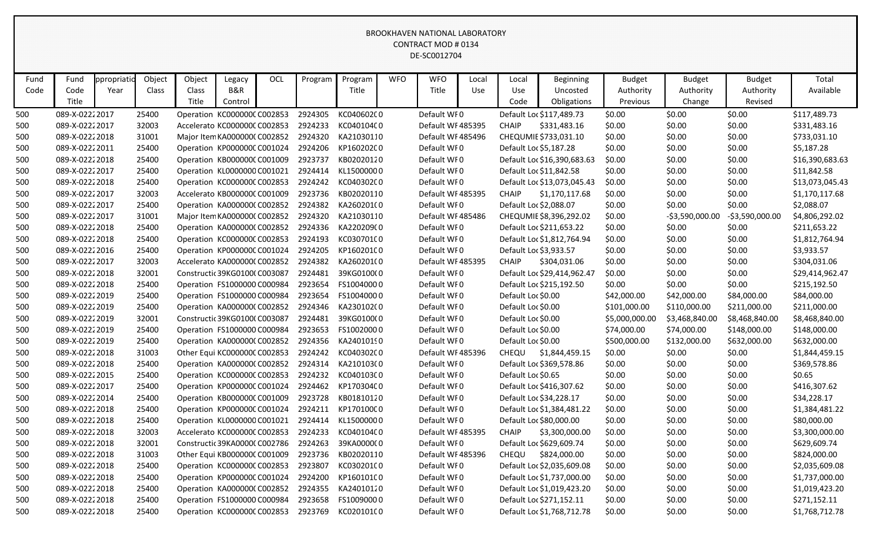| Fund | Fund           | ppropriatio | Object | Object | Legacy                        | OCL | Program | Program    | <b>WFO</b> | <b>WFO</b>        | Local | Local              | Beginning                   | <b>Budget</b>  | <b>Budget</b>    | <b>Budget</b>    | Total           |
|------|----------------|-------------|--------|--------|-------------------------------|-----|---------|------------|------------|-------------------|-------|--------------------|-----------------------------|----------------|------------------|------------------|-----------------|
| Code | Code           | Year        | Class  | Class  | <b>B&amp;R</b>                |     |         | Title      |            | Title             | Use   | Use                | Uncosted                    | Authority      | Authority        | Authority        | Available       |
|      | Title          |             |        | Title  | Control                       |     |         |            |            |                   |       | Code               | Obligations                 | Previous       | Change           | Revised          |                 |
| 500  | 089-X-02222017 |             | 25400  |        | Operation KC000000CC002853    |     | 2924305 | KC040602C0 |            | Default WF0       |       |                    | Default Loc \$117,489.73    | \$0.00         | \$0.00           | \$0.00           | \$117,489.73    |
| 500  | 089-X-02222017 |             | 32003  |        | Accelerato KC000000C C002853  |     | 2924233 | KC04010400 |            | Default WF485395  |       | <b>CHAIP</b>       | \$331,483.16                | \$0.00         | \$0.00           | \$0.00           | \$331,483.16    |
| 500  | 089-X-02222018 |             | 31001  |        | Major Item KA0000000 C002852  |     | 2924320 | KA21030110 |            | Default WF485496  |       |                    | CHEQUMIE \$733,031.10       | \$0.00         | \$0.00           | \$0.00           | \$733,031.10    |
| 500  | 089-X-02222011 |             | 25400  |        | Operation KP000000C C001024   |     | 2924206 | KP160202C0 |            | Default WF0       |       |                    | Default Loc \$5,187.28      | \$0.00         | \$0.00           | \$0.00           | \$5,187.28      |
| 500  | 089-X-02222018 |             | 25400  |        | Operation KB000000C C001009   |     | 2923737 | KB02020120 |            | Default WF0       |       |                    | Default Loc \$16,390,683.63 | \$0.00         | \$0.00           | \$0.00           | \$16,390,683.63 |
| 500  | 089-X-02222017 |             | 25400  |        | Operation KL0000000 C001021   |     | 2924414 | KL15000000 |            | Default WF0       |       |                    | Default Loc \$11,842.58     | \$0.00         | \$0.00           | \$0.00           | \$11,842.58     |
| 500  | 089-X-02222018 |             | 25400  |        | Operation KC000000C C002853   |     | 2924242 | KC04030200 |            | Default WF0       |       |                    | Default Loc \$13,073,045.43 | \$0.00         | \$0.00           | \$0.00           | \$13,073,045.43 |
| 500  | 089-X-02222017 |             | 32003  |        | Accelerato KB000000C C001009  |     | 2923736 | KB02020110 |            | Default WF485395  |       | <b>CHAIP</b>       | \$1,170,117.68              | \$0.00         | \$0.00           | \$0.00           | \$1,170,117.68  |
| 500  | 089-X-02222017 |             | 25400  |        | Operation KA000000C C002852   |     | 2924382 | KA260201(0 |            | Default WF0       |       |                    | Default Loc \$2,088.07      | \$0.00         | \$0.00           | \$0.00           | \$2,088.07      |
| 500  | 089-X-02222017 |             | 31001  |        | Major Item KA0000000 C002852  |     | 2924320 | KA21030110 |            | Default WF 485486 |       |                    | CHEQUMIE \$8,396,292.02     | \$0.00         | $-53,590,000.00$ | $-53,590,000.00$ | \$4,806,292.02  |
| 500  | 089-X-02222018 |             | 25400  |        | Operation KA000000C C002852   |     | 2924336 | KA220209(0 |            | Default WF0       |       |                    | Default Loc \$211,653.22    | \$0.00         | \$0.00           | \$0.00           | \$211,653.22    |
| 500  | 089-X-02222018 |             | 25400  |        | Operation KC000000C C002853   |     | 2924193 | KC03070100 |            | Default WF0       |       |                    | Default Loc \$1,812,764.94  | \$0.00         | \$0.00           | \$0.00           | \$1,812,764.94  |
| 500  | 089-X-02222016 |             | 25400  |        | Operation KP000000CC001024    |     | 2924205 | KP16020100 |            | Default WF0       |       |                    | Default Loc \$3,933.57      | \$0.00         | \$0.00           | \$0.00           | \$3,933.57      |
| 500  | 089-X-02222017 |             | 32003  |        | Accelerato KA0000000 C002852  |     | 2924382 | KA260201(0 |            | Default WF 485395 |       | <b>CHAIP</b>       | \$304,031.06                | \$0.00         | \$0.00           | \$0.00           | \$304,031.06    |
| 500  | 089-X-02222018 |             | 32001  |        | Constructic 39KG0100(C003087  |     | 2924481 | 39KG0100(0 |            | Default WF0       |       |                    | Default Loc \$29,414,962.47 | \$0.00         | \$0.00           | \$0.00           | \$29,414,962.47 |
| 500  | 089-X-02222018 |             | 25400  |        | Operation FS1000000 C000984   |     | 2923654 | FS10040000 |            | Default WF0       |       |                    | Default Loc \$215,192.50    | \$0.00         | \$0.00           | \$0.00           | \$215,192.50    |
| 500  | 089-X-02222019 |             | 25400  |        | Operation FS1000000 C000984   |     | 2923654 | FS10040000 |            | Default WF0       |       | Default Loc \$0.00 |                             | \$42,000.00    | \$42,000.00      | \$84,000.00      | \$84,000.00     |
| 500  | 089-X-02222019 |             | 25400  |        | Operation KA000000C C002852   |     | 2924346 | KA230102(0 |            | Default WF0       |       | Default Loc \$0.00 |                             | \$101,000.00   | \$110,000.00     | \$211,000.00     | \$211,000.00    |
| 500  | 089-X-02222019 |             | 32001  |        | Constructic 39KG01000 C003087 |     | 2924481 | 39KG0100(0 |            | Default WF0       |       | Default Loc \$0.00 |                             | \$5,000,000.00 | \$3,468,840.00   | \$8,468,840.00   | \$8,468,840.00  |
| 500  | 089-X-02222019 |             | 25400  |        | Operation FS1000000 C000984   |     | 2923653 | FS10020000 |            | Default WF0       |       | Default Loc \$0.00 |                             | \$74,000.00    | \$74,000.00      | \$148,000.00     | \$148,000.00    |
| 500  | 089-X-02222019 |             | 25400  |        | Operation KA000000CC002852    |     | 2924356 | KA24010190 |            | Default WF0       |       | Default Loc \$0.00 |                             | \$500,000.00   | \$132,000.00     | \$632,000.00     | \$632,000.00    |
| 500  | 089-X-02222018 |             | 31003  |        | Other Equi KC000000C C002853  |     | 2924242 | KC040302C0 |            | Default WF485396  |       | <b>CHEQU</b>       | \$1,844,459.15              | \$0.00         | \$0.00           | \$0.00           | \$1,844,459.15  |
| 500  | 089-X-02222018 |             | 25400  |        | Operation KA000000C C002852   |     | 2924314 | KA210103(0 |            | Default WF0       |       |                    | Default Loc \$369,578.86    | \$0.00         | \$0.00           | \$0.00           | \$369,578.86    |
| 500  | 089-X-02222015 |             | 25400  |        | Operation KC000000C C002853   |     | 2924232 | KC04010300 |            | Default WF0       |       | Default Loc \$0.65 |                             | \$0.00         | \$0.00           | \$0.00           | \$0.65          |
| 500  | 089-X-02222017 |             | 25400  |        | Operation KP000000C C001024   |     | 2924462 | KP170304C0 |            | Default WF0       |       |                    | Default Loc \$416,307.62    | \$0.00         | \$0.00           | \$0.00           | \$416,307.62    |
| 500  | 089-X-02222014 |             | 25400  |        | Operation KB000000C C001009   |     | 2923728 | KB01810120 |            | Default WF0       |       |                    | Default Loc \$34,228.17     | \$0.00         | \$0.00           | \$0.00           | \$34,228.17     |
| 500  | 089-X-02222018 |             | 25400  |        | Operation KP000000C C001024   |     | 2924211 | KP170100C0 |            | Default WF0       |       |                    | Default Loc \$1,384,481.22  | \$0.00         | \$0.00           | \$0.00           | \$1,384,481.22  |
| 500  | 089-X-02222018 |             | 25400  |        | Operation KL0000000 C001021   |     | 2924414 | KL15000000 |            | Default WI0       |       |                    | Default Loc \$80,000.00     | \$0.00         | \$0.00           | \$0.00           | \$80,000.00     |
| 500  | 089-X-02222018 |             | 32003  |        | Accelerato KC000000C C002853  |     | 2924233 | KC040104C0 |            | Default WF485395  |       | <b>CHAIP</b>       | \$3,300,000.00              | \$0.00         | \$0.00           | \$0.00           | \$3,300,000.00  |
| 500  | 089-X-02222018 |             | 32001  |        | Constructic 39KA0000C C002786 |     | 2924263 | 39KA000000 |            | Default WF0       |       |                    | Default Loc \$629,609.74    | \$0.00         | \$0.00           | \$0.00           | \$629,609.74    |
| 500  | 089-X-02222018 |             | 31003  |        | Other Equi KB000000C C001009  |     | 2923736 | KB02020110 |            | Default WF485396  |       | CHEQU              | \$824,000.00                | \$0.00         | \$0.00           | \$0.00           | \$824,000.00    |
| 500  | 089-X-02222018 |             | 25400  |        | Operation KC000000C C002853   |     | 2923807 | KC03020100 |            | Default WF0       |       |                    | Default Loc \$2,035,609.08  | \$0.00         | \$0.00           | \$0.00           | \$2,035,609.08  |
| 500  | 089-X-02222018 |             | 25400  |        | Operation KP000000C C001024   |     | 2924200 | KP160101C0 |            | Default WF0       |       |                    | Default Loc \$1,737,000.00  | \$0.00         | \$0.00           | \$0.00           | \$1,737,000.00  |
| 500  | 089-X-02222018 |             | 25400  |        | Operation KA0000000 C002852   |     | 2924355 | KA24010120 |            | Default WF0       |       |                    | Default Loc \$1,019,423.20  | \$0.00         | \$0.00           | \$0.00           | \$1,019,423.20  |
| 500  | 089-X-02222018 |             | 25400  |        | Operation FS1000000 C000984   |     | 2923658 | FS10090000 |            | Default WF0       |       |                    | Default Loc \$271,152.11    | \$0.00         | \$0.00           | \$0.00           | \$271,152.11    |
| 500  | 089-X-02222018 |             | 25400  |        | Operation KC000000C C002853   |     | 2923769 | KC02010100 |            | Default WF0       |       |                    | Default Loc \$1,768,712.78  | \$0.00         | \$0.00           | \$0.00           | \$1,768,712.78  |
|      |                |             |        |        |                               |     |         |            |            |                   |       |                    |                             |                |                  |                  |                 |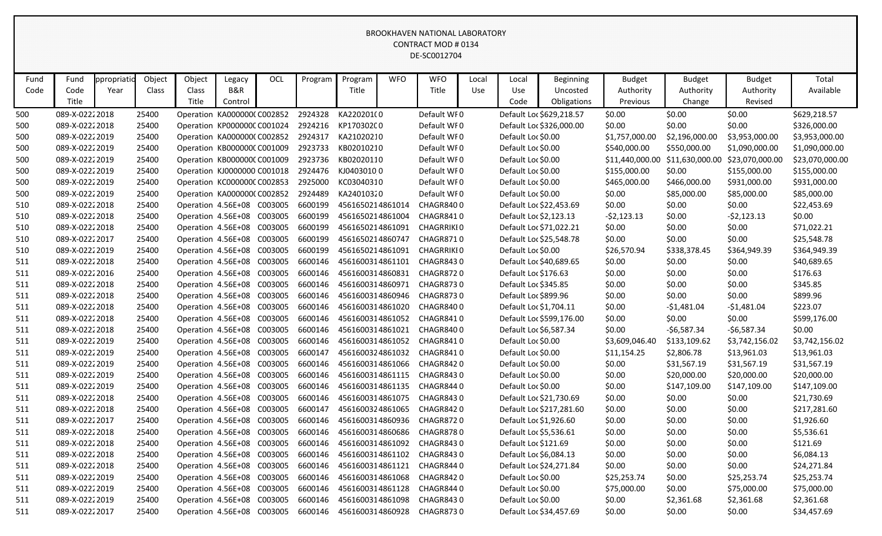| Fund | Fund           | ppropriatic | Object | Object | Legacy                      | OCL     | Program | Program          | <b>WFO</b> | <b>WFO</b>  | Local | Local                  | <b>Beginning</b>         | <b>Budget</b>   | <b>Budget</b>   | <b>Budget</b>   | Total           |
|------|----------------|-------------|--------|--------|-----------------------------|---------|---------|------------------|------------|-------------|-------|------------------------|--------------------------|-----------------|-----------------|-----------------|-----------------|
| Code | Code           | Year        | Class  | Class  | <b>B&amp;R</b>              |         |         | Title            |            | Title       | Use   | Use                    | Uncosted                 | Authority       | Authority       | Authority       | Available       |
|      | Title          |             |        | Title  | Control                     |         |         |                  |            |             |       | Code                   | Obligations              | Previous        | Change          | Revised         |                 |
| 500  | 089-X-02222018 |             | 25400  |        | Operation KA000000C C002852 |         | 2924328 | KA220201(0       |            | Default WF0 |       |                        | Default Loc \$629,218.57 | \$0.00          | \$0.00          | \$0.00          | \$629,218.57    |
| 500  | 089-X-02222018 |             | 25400  |        | Operation KP000000C C001024 |         | 2924216 | KP170302C0       |            | Default WI0 |       |                        | Default Loc \$326,000.00 | \$0.00          | \$0.00          | \$0.00          | \$326,000.00    |
| 500  | 089-X-02222019 |             | 25400  |        | Operation KA0000000 C002852 |         | 2924317 | KA21020210       |            | Default WF0 |       | Default Loc \$0.00     |                          | \$1,757,000.00  | \$2,196,000.00  | \$3,953,000.00  | \$3,953,000.00  |
| 500  | 089-X-02222019 |             | 25400  |        | Operation KB000000C C001009 |         | 2923733 | KB02010210       |            | Default WI0 |       | Default Loc \$0.00     |                          | \$540,000.00    | \$550,000.00    | \$1,090,000.00  | \$1,090,000.00  |
| 500  | 089-X-02222019 |             | 25400  |        | Operation KB000000C C001009 |         | 2923736 | KB02020110       |            | Default WF0 |       | Default Loc \$0.00     |                          | \$11,440,000.00 | \$11,630,000.00 | \$23,070,000.00 | \$23,070,000.00 |
| 500  | 089-X-02222019 |             | 25400  |        | Operation KJ0000000 C001018 |         | 2924476 | KJ04030100       |            | Default WF0 |       | Default Loc \$0.00     |                          | \$155,000.00    | \$0.00          | \$155,000.00    | \$155,000.00    |
| 500  | 089-X-02222019 |             | 25400  |        | Operation KC000000C C002853 |         | 2925000 | KC03040310       |            | Default WF0 |       | Default Loc \$0.00     |                          | \$465,000.00    | \$466,000.00    | \$931,000.00    | \$931,000.00    |
| 500  | 089-X-02222019 |             | 25400  |        | Operation KA0000000 C002852 |         | 2924489 | KA24010320       |            | Default WF0 |       | Default Loc \$0.00     |                          | \$0.00          | \$85,000.00     | \$85,000.00     | \$85,000.00     |
| 510  | 089-X-02222018 |             | 25400  |        | Operation 4.56E+08 C003005  |         | 6600199 | 4561650214861014 |            | CHAGR8400   |       |                        | Default Loc \$22,453.69  | \$0.00          | \$0.00          | \$0.00          | \$22,453.69     |
| 510  | 089-X-02222018 |             | 25400  |        | Operation 4.56E+08 C003005  |         | 6600199 | 4561650214861004 |            | CHAGR8410   |       |                        | Default Loc \$2,123.13   | $-52,123.13$    | \$0.00          | $-52,123.13$    | \$0.00          |
| 510  | 089-X-02222018 |             | 25400  |        | Operation 4.56E+08 C003005  |         | 6600199 | 4561650214861091 |            | CHAGRRIKI0  |       |                        | Default Loc \$71,022.21  | \$0.00          | \$0.00          | \$0.00          | \$71,022.21     |
| 510  | 089-X-02222017 |             | 25400  |        | Operation 4.56E+08 C003005  |         | 6600199 | 4561650214860747 |            | CHAGR8710   |       |                        | Default Loc \$25,548.78  | \$0.00          | \$0.00          | \$0.00          | \$25,548.78     |
| 510  | 089-X-02222019 |             | 25400  |        | Operation 4.56E+08 C003005  |         | 6600199 | 4561650214861091 |            | CHAGRRIKI0  |       | Default Loc \$0.00     |                          | \$26,570.94     | \$338,378.45    | \$364,949.39    | \$364,949.39    |
| 511  | 089-X-02222018 |             | 25400  |        | Operation 4.56E+08 C003005  |         | 6600146 | 4561600314861101 |            | CHAGR8430   |       |                        | Default Loc \$40,689.65  | \$0.00          | \$0.00          | \$0.00          | \$40,689.65     |
| 511  | 089-X-02222016 |             | 25400  |        | Operation 4.56E+08 C003005  |         | 6600146 | 4561600314860831 |            | CHAGR8720   |       | Default Loc \$176.63   |                          | \$0.00          | \$0.00          | \$0.00          | \$176.63        |
| 511  | 089-X-02222018 |             | 25400  |        | Operation 4.56E+08 C003005  |         | 6600146 | 4561600314860971 |            | CHAGR8730   |       | Default Loc \$345.85   |                          | \$0.00          | \$0.00          | \$0.00          | \$345.85        |
| 511  | 089-X-02222018 |             | 25400  |        | Operation 4.56E+08 C003005  |         | 6600146 | 4561600314860946 |            | CHAGR8730   |       | Default Loc \$899.96   |                          | \$0.00          | \$0.00          | \$0.00          | \$899.96        |
| 511  | 089-X-02222018 |             | 25400  |        | Operation 4.56E+08 C003005  |         | 6600146 | 4561600314861020 |            | CHAGR8400   |       | Default Loc \$1,704.11 |                          | \$0.00          | $-$1,481.04$    | $-$1,481.04$    | \$223.07        |
| 511  | 089-X-02222018 |             | 25400  |        | Operation 4.56E+08 C003005  |         | 6600146 | 4561600314861052 |            | CHAGR8410   |       |                        | Default Loc \$599,176.00 | \$0.00          | \$0.00          | \$0.00          | \$599,176.00    |
| 511  | 089-X-02222018 |             | 25400  |        | Operation 4.56E+08 C003005  |         | 6600146 | 4561600314861021 |            | CHAGR8400   |       |                        | Default Loc \$6,587.34   | \$0.00          | $-56,587.34$    | $-56,587.34$    | \$0.00          |
| 511  | 089-X-02222019 |             | 25400  |        | Operation 4.56E+08 C003005  |         | 6600146 | 4561600314861052 |            | CHAGR8410   |       | Default Loc \$0.00     |                          | \$3,609,046.40  | \$133,109.62    | \$3,742,156.02  | \$3,742,156.02  |
| 511  | 089-X-02222019 |             | 25400  |        | Operation 4.56E+08 C003005  |         | 6600147 | 4561600324861032 |            | CHAGR8410   |       | Default Loc \$0.00     |                          | \$11,154.25     | \$2,806.78      | \$13,961.03     | \$13,961.03     |
| 511  | 089-X-02222019 |             | 25400  |        | Operation 4.56E+08          | C003005 | 6600146 | 4561600314861066 |            | CHAGR8420   |       | Default Loc \$0.00     |                          | \$0.00          | \$31,567.19     | \$31,567.19     | \$31,567.19     |
| 511  | 089-X-02222019 |             | 25400  |        | Operation 4.56E+08 C003005  |         | 6600146 | 4561600314861115 |            | CHAGR8430   |       | Default Loc \$0.00     |                          | \$0.00          | \$20,000.00     | \$20,000.00     | \$20,000.00     |
| 511  | 089-X-02222019 |             | 25400  |        | Operation 4.56E+08          | C003005 | 6600146 | 4561600314861135 |            | CHAGR8440   |       | Default Loc \$0.00     |                          | \$0.00          | \$147,109.00    | \$147,109.00    | \$147,109.00    |
| 511  | 089-X-02222018 |             | 25400  |        | Operation 4.56E+08 C003005  |         | 6600146 | 4561600314861075 |            | CHAGR8430   |       |                        | Default Loc \$21,730.69  | \$0.00          | \$0.00          | \$0.00          | \$21,730.69     |
| 511  | 089-X-02222018 |             | 25400  |        | Operation 4.56E+08 C003005  |         | 6600147 | 4561600324861065 |            | CHAGR8420   |       |                        | Default Loc \$217,281.60 | \$0.00          | \$0.00          | \$0.00          | \$217,281.60    |
| 511  | 089-X-02222017 |             | 25400  |        | Operation 4.56E+08 C003005  |         | 6600146 | 4561600314860936 |            | CHAGR8720   |       |                        | Default Loc \$1,926.60   | \$0.00          | \$0.00          | \$0.00          | \$1,926.60      |
| 511  | 089-X-02222018 |             | 25400  |        | Operation 4.56E+08 C003005  |         | 6600146 | 4561600314860686 |            | CHAGR8780   |       | Default Loc \$5,536.61 |                          | \$0.00          | \$0.00          | \$0.00          | \$5,536.61      |
| 511  | 089-X-02222018 |             | 25400  |        | Operation 4.56E+08 C003005  |         | 6600146 | 4561600314861092 |            | CHAGR8430   |       | Default Loc \$121.69   |                          | \$0.00          | \$0.00          | \$0.00          | \$121.69        |
| 511  | 089-X-02222018 |             | 25400  |        | Operation 4.56E+08 C003005  |         | 6600146 | 4561600314861102 |            | CHAGR8430   |       |                        | Default Loc \$6,084.13   | \$0.00          | \$0.00          | \$0.00          | \$6,084.13      |
| 511  | 089-X-02222018 |             | 25400  |        | Operation 4.56E+08 C003005  |         | 6600146 | 4561600314861121 |            | CHAGR8440   |       |                        | Default Loc \$24,271.84  | \$0.00          | \$0.00          | \$0.00          | \$24,271.84     |
| 511  | 089-X-02222019 |             | 25400  |        | Operation 4.56E+08 C003005  |         | 6600146 | 4561600314861068 |            | CHAGR8420   |       | Default Loc \$0.00     |                          | \$25,253.74     | \$0.00          | \$25,253.74     | \$25,253.74     |
| 511  | 089-X-02222019 |             | 25400  |        | Operation 4.56E+08 C003005  |         | 6600146 | 4561600314861128 |            | CHAGR8440   |       | Default Loc \$0.00     |                          | \$75,000.00     | \$0.00          | \$75,000.00     | \$75,000.00     |
| 511  | 089-X-02222019 |             | 25400  |        | Operation 4.56E+08 C003005  |         | 6600146 | 4561600314861098 |            | CHAGR8430   |       | Default Loc \$0.00     |                          | \$0.00          | \$2,361.68      | \$2,361.68      | \$2,361.68      |
| 511  | 089-X-02222017 |             | 25400  |        | Operation 4.56E+08 C003005  |         | 6600146 | 4561600314860928 |            | CHAGR8730   |       |                        | Default Loc \$34,457.69  | \$0.00          | \$0.00          | \$0.00          | \$34,457.69     |
|      |                |             |        |        |                             |         |         |                  |            |             |       |                        |                          |                 |                 |                 |                 |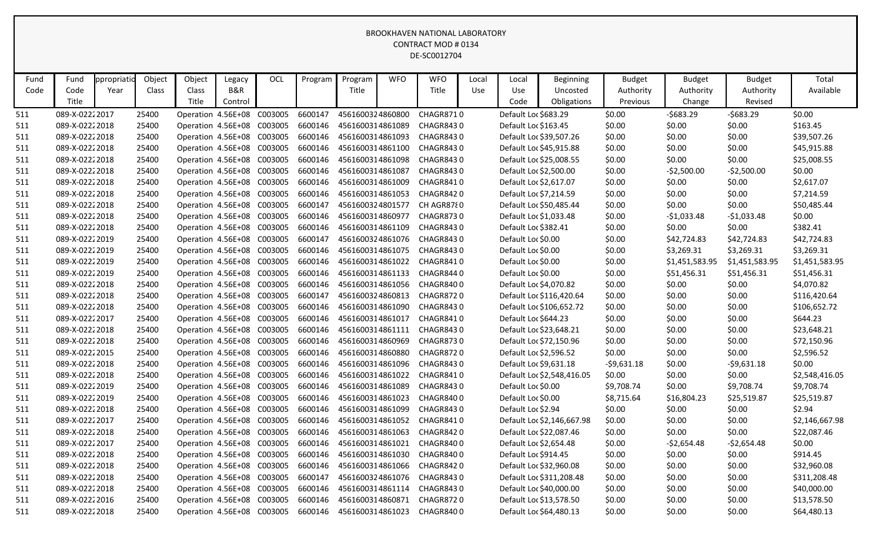| Fund | Fund           | ppropriatic | Object | Object                     | Legacy         | OCL | Program | Program          | <b>WFO</b> | <b>WFO</b>       | Local | Local                | <b>Beginning</b>           | <b>Budget</b> | <b>Budget</b>  | <b>Budget</b>  | Total          |
|------|----------------|-------------|--------|----------------------------|----------------|-----|---------|------------------|------------|------------------|-------|----------------------|----------------------------|---------------|----------------|----------------|----------------|
| Code | Code           | Year        | Class  | Class                      | <b>B&amp;R</b> |     |         | Title            |            | Title            | Use   | Use                  | Uncosted                   | Authority     | Authority      | Authority      | Available      |
|      | Title          |             |        | Title                      | Control        |     |         |                  |            |                  |       | Code                 | Obligations                | Previous      | Change         | Revised        |                |
| 511  | 089-X-02222017 |             | 25400  | Operation 4.56E+08 C003005 |                |     | 6600147 | 4561600324860800 |            | CHAGR8710        |       |                      | Default Loc \$683.29       | \$0.00        | $-5683.29$     | $-5683.29$     | \$0.00         |
| 511  | 089-X-02222018 |             | 25400  | Operation 4.56E+08 C003005 |                |     | 6600146 | 4561600314861089 |            | CHAGR8430        |       |                      | Default Loc \$163.45       | \$0.00        | \$0.00         | \$0.00         | \$163.45       |
| 511  | 089-X-02222018 |             | 25400  | Operation 4.56E+08 C003005 |                |     | 6600146 | 4561600314861093 |            | CHAGR8430        |       |                      | Default Loc \$39,507.26    | \$0.00        | \$0.00         | \$0.00         | \$39,507.26    |
| 511  | 089-X-02222018 |             | 25400  | Operation 4.56E+08 C003005 |                |     | 6600146 | 4561600314861100 |            | CHAGR8430        |       |                      | Default Loc \$45,915.88    | \$0.00        | \$0.00         | \$0.00         | \$45,915.88    |
| 511  | 089-X-02222018 |             | 25400  | Operation 4.56E+08 C003005 |                |     | 6600146 | 4561600314861098 |            | CHAGR8430        |       |                      | Default Loc \$25,008.55    | \$0.00        | \$0.00         | \$0.00         | \$25,008.55    |
| 511  | 089-X-02222018 |             | 25400  | Operation 4.56E+08 C003005 |                |     | 6600146 | 4561600314861087 |            | CHAGR8430        |       |                      | Default Loc \$2,500.00     | \$0.00        | $-52,500.00$   | $-52,500.00$   | \$0.00         |
| 511  | 089-X-02222018 |             | 25400  | Operation 4.56E+08 C003005 |                |     | 6600146 | 4561600314861009 |            | CHAGR8410        |       |                      | Default Loc \$2,617.07     | \$0.00        | \$0.00         | \$0.00         | \$2,617.07     |
| 511  | 089-X-02222018 |             | 25400  | Operation 4.56E+08 C003005 |                |     | 6600146 | 4561600314861053 |            | CHAGR8420        |       |                      | Default Loc \$7,214.59     | \$0.00        | \$0.00         | \$0.00         | \$7,214.59     |
| 511  | 089-X-02222018 |             | 25400  | Operation 4.56E+08 C003005 |                |     | 6600147 | 4561600324801577 |            | CH AGR8780       |       |                      | Default Loc \$50,485.44    | \$0.00        | \$0.00         | \$0.00         | \$50,485.44    |
| 511  | 089-X-02222018 |             | 25400  | Operation 4.56E+08 C003005 |                |     | 6600146 | 4561600314860977 |            | CHAGR8730        |       |                      | Default Loc \$1,033.48     | \$0.00        | $-$1,033.48$   | $-$1,033.48$   | \$0.00         |
| 511  | 089-X-02222018 |             | 25400  | Operation 4.56E+08 C003005 |                |     | 6600146 | 4561600314861109 |            | CHAGR8430        |       | Default Loc \$382.41 |                            | \$0.00        | \$0.00         | \$0.00         | \$382.41       |
| 511  | 089-X-02222019 |             | 25400  | Operation 4.56E+08 C003005 |                |     | 6600147 | 4561600324861076 |            | CHAGR8430        |       | Default Loc \$0.00   |                            | \$0.00        | \$42,724.83    | \$42,724.83    | \$42,724.83    |
| 511  | 089-X-02222019 |             | 25400  | Operation 4.56E+08 C003005 |                |     | 6600146 | 4561600314861075 |            | CHAGR8430        |       | Default Loc \$0.00   |                            | \$0.00        | \$3,269.31     | \$3,269.31     | \$3,269.31     |
| 511  | 089-X-02222019 |             | 25400  | Operation 4.56E+08 C003005 |                |     | 6600146 | 4561600314861022 |            | CHAGR8410        |       | Default Loc \$0.00   |                            | \$0.00        | \$1,451,583.95 | \$1,451,583.95 | \$1,451,583.95 |
| 511  | 089-X-02222019 |             | 25400  | Operation 4.56E+08 C003005 |                |     | 6600146 | 4561600314861133 |            | CHAGR8440        |       | Default Loc \$0.00   |                            | \$0.00        | \$51,456.31    | \$51,456.31    | \$51,456.31    |
| 511  | 089-X-02222018 |             | 25400  | Operation 4.56E+08 C003005 |                |     | 6600146 | 4561600314861056 |            | CHAGR8400        |       |                      | Default Loc \$4,070.82     | \$0.00        | \$0.00         | \$0.00         | \$4,070.82     |
| 511  | 089-X-02222018 |             | 25400  | Operation 4.56E+08 C003005 |                |     | 6600147 | 4561600324860813 |            | CHAGR8720        |       |                      | Default Loc \$116,420.64   | \$0.00        | \$0.00         | \$0.00         | \$116,420.64   |
| 511  | 089-X-02222018 |             | 25400  | Operation 4.56E+08 C003005 |                |     | 6600146 | 4561600314861090 |            | CHAGR8430        |       |                      | Default Loc \$106,652.72   | \$0.00        | \$0.00         | \$0.00         | \$106,652.72   |
| 511  | 089-X-02222017 |             | 25400  | Operation 4.56E+08 C003005 |                |     | 6600146 | 4561600314861017 |            | CHAGR8410        |       |                      | Default Loc \$644.23       | \$0.00        | \$0.00         | \$0.00         | \$644.23       |
| 511  | 089-X-02222018 |             | 25400  | Operation 4.56E+08 C003005 |                |     | 6600146 | 4561600314861111 |            | CHAGR8430        |       |                      | Default Loc \$23,648.21    | \$0.00        | \$0.00         | \$0.00         | \$23,648.21    |
| 511  | 089-X-02222018 |             | 25400  | Operation 4.56E+08 C003005 |                |     | 6600146 | 4561600314860969 |            | CHAGR8730        |       |                      | Default Loc \$72,150.96    | \$0.00        | \$0.00         | \$0.00         | \$72,150.96    |
| 511  | 089-X-02222015 |             | 25400  | Operation 4.56E+08 C003005 |                |     | 6600146 | 4561600314860880 |            | CHAGR8720        |       |                      | Default Loc \$2,596.52     | \$0.00        | \$0.00         | \$0.00         | \$2,596.52     |
| 511  | 089-X-02222018 |             | 25400  | Operation 4.56E+08 C003005 |                |     | 6600146 | 4561600314861096 |            | <b>CHAGR8430</b> |       |                      | Default Loc \$9,631.18     | $-59,631.18$  | \$0.00         | $-59,631.18$   | \$0.00         |
| 511  | 089-X-02222018 |             | 25400  | Operation 4.56E+08 C003005 |                |     | 6600146 | 4561600314861022 |            | CHAGR8410        |       |                      | Default Loc \$2,548,416.05 | \$0.00        | \$0.00         | \$0.00         | \$2,548,416.05 |
| 511  | 089-X-02222019 |             | 25400  | Operation 4.56E+08 C003005 |                |     | 6600146 | 4561600314861089 |            | CHAGR8430        |       | Default Loc \$0.00   |                            | \$9,708.74    | \$0.00         | \$9,708.74     | \$9,708.74     |
| 511  | 089-X-02222019 |             | 25400  | Operation 4.56E+08 C003005 |                |     | 6600146 | 4561600314861023 |            | CHAGR8400        |       | Default Loc \$0.00   |                            | \$8,715.64    | \$16,804.23    | \$25,519.87    | \$25,519.87    |
| 511  | 089-X-02222018 |             | 25400  | Operation 4.56E+08 C003005 |                |     | 6600146 | 4561600314861099 |            | CHAGR8430        |       | Default Loc \$2.94   |                            | \$0.00        | \$0.00         | \$0.00         | \$2.94         |
| 511  | 089-X-02222017 |             | 25400  | Operation 4.56E+08 C003005 |                |     | 6600146 | 4561600314861052 |            | CHAGR8410        |       |                      | Default Loc \$2,146,667.98 | \$0.00        | \$0.00         | \$0.00         | \$2,146,667.98 |
| 511  | 089-X-02222018 |             | 25400  | Operation 4.56E+08 C003005 |                |     | 6600146 | 4561600314861063 |            | CHAGR8420        |       |                      | Default Loc \$22,087.46    | \$0.00        | \$0.00         | \$0.00         | \$22,087.46    |
| 511  | 089-X-02222017 |             | 25400  | Operation 4.56E+08 C003005 |                |     | 6600146 | 4561600314861021 |            | CHAGR8400        |       |                      | Default Loc \$2,654.48     | \$0.00        | -\$2,654.48    | $-52,654.48$   | \$0.00         |
| 511  | 089-X-02222018 |             | 25400  | Operation 4.56E+08 C003005 |                |     | 6600146 | 4561600314861030 |            | CHAGR8400        |       |                      | Default Loc \$914.45       | \$0.00        | \$0.00         | \$0.00         | \$914.45       |
| 511  | 089-X-02222018 |             | 25400  | Operation 4.56E+08 C003005 |                |     | 6600146 | 4561600314861066 |            | CHAGR8420        |       |                      | Default Loc \$32,960.08    | \$0.00        | \$0.00         | \$0.00         | \$32,960.08    |
| 511  | 089-X-02222018 |             | 25400  | Operation 4.56E+08 C003005 |                |     | 6600147 | 4561600324861076 |            | CHAGR8430        |       |                      | Default Loc \$311,208.48   | \$0.00        | \$0.00         | \$0.00         | \$311,208.48   |
| 511  | 089-X-02222018 |             | 25400  | Operation 4.56E+08 C003005 |                |     | 6600146 | 4561600314861114 |            | CHAGR8430        |       |                      | Default Loc \$40,000.00    | \$0.00        | \$0.00         | \$0.00         | \$40,000.00    |
| 511  | 089-X-02222016 |             | 25400  | Operation 4.56E+08 C003005 |                |     | 6600146 | 4561600314860871 |            | CHAGR8720        |       |                      | Default Loc \$13,578.50    | \$0.00        | \$0.00         | \$0.00         | \$13,578.50    |
| 511  | 089-X-02222018 |             | 25400  | Operation 4.56E+08 C003005 |                |     | 6600146 | 4561600314861023 |            | CHAGR8400        |       |                      | Default Loc \$64,480.13    | \$0.00        | \$0.00         | \$0.00         | \$64,480.13    |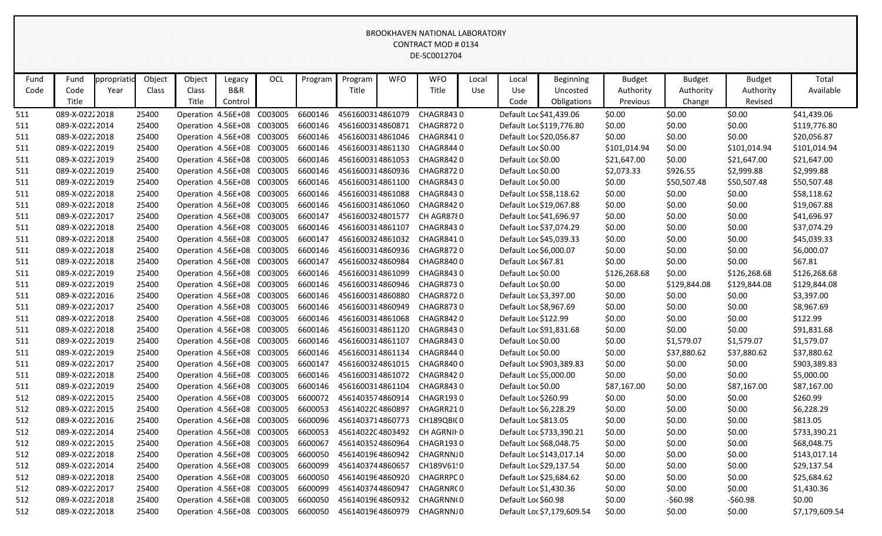| Fund | Fund           | ppropriatio | Object | Object                     | Legacy                     | OCL     | Program | Program          | <b>WFO</b> | <b>WFO</b>                  | Local      | Local               | Beginning                  | <b>Budget</b> | <b>Budget</b> | <b>Budget</b> | Total          |
|------|----------------|-------------|--------|----------------------------|----------------------------|---------|---------|------------------|------------|-----------------------------|------------|---------------------|----------------------------|---------------|---------------|---------------|----------------|
| Code | Code           | Year        | Class  | <b>Class</b>               | <b>B&amp;R</b>             |         |         | Title            |            | Title                       | <b>Use</b> | Use                 | Uncosted                   | Authority     | Authority     | Authority     | Available      |
|      | Title          |             |        | Title                      | Control                    |         |         |                  |            |                             |            | Code                | Obligations                | Previous      | Change        | Revised       |                |
| 511  | 089-X-02222018 |             | 25400  | Operation 4.56E+08         |                            | C003005 | 6600146 | 4561600314861079 |            | <b>CHAGR8430</b>            |            |                     | Default Loc \$41,439.06    | \$0.00        | \$0.00        | \$0.00        | \$41,439.06    |
| 511  | 089-X-02222014 |             | 25400  |                            | Operation 4.56E+08 C003005 |         | 6600146 | 4561600314860871 |            | <b>CHAGR8720</b>            |            |                     | Default Loc \$119,776.80   | \$0.00        | \$0.00        | \$0.00        | \$119,776.80   |
| 511  | 089-X-02222018 |             | 25400  | Operation 4.56E+08         |                            | C003005 | 6600146 | 4561600314861046 |            | CHAGR8410                   |            |                     | Default Loc \$20,056.87    | \$0.00        | \$0.00        | \$0.00        | \$20,056.87    |
| 511  | 089-X-02222019 |             | 25400  | Operation 4.56E+08 C003005 |                            |         | 6600146 | 4561600314861130 |            | CHAGR8440                   |            | Default Loc \$0.00  |                            | \$101,014.94  | \$0.00        | \$101,014.94  | \$101,014.94   |
| 511  | 089-X-02222019 |             | 25400  |                            | Operation 4.56E+08 C003005 |         | 6600146 | 4561600314861053 |            | CHAGR8420                   |            | Default Loc \$0.00  |                            | \$21,647.00   | \$0.00        | \$21,647.00   | \$21,647.00    |
| 511  | 089-X-02222019 |             | 25400  | Operation 4.56E+08         |                            | C003005 | 6600146 | 4561600314860936 |            | CHAGR8720                   |            | Default Loc \$0.00  |                            | \$2,073.33    | \$926.55      | \$2,999.88    | \$2,999.88     |
| 511  | 089-X-02222019 |             | 25400  |                            | Operation 4.56E+08 C003005 |         | 6600146 | 4561600314861100 |            | CHAGR8430                   |            | Default Loc \$0.00  |                            | \$0.00        | \$50,507.48   | \$50,507.48   | \$50,507.48    |
| 511  | 089-X-02222018 |             | 25400  |                            | Operation 4.56E+08 C003005 |         | 6600146 | 4561600314861088 |            | <b>CHAGR8430</b>            |            |                     | Default Loc \$58,118.62    | \$0.00        | \$0.00        | \$0.00        | \$58,118.62    |
| 511  | 089-X-02222018 |             | 25400  | Operation 4.56E+08 C003005 |                            |         | 6600146 | 4561600314861060 |            | CHAGR8420                   |            |                     | Default Loc \$19,067.88    | \$0.00        | \$0.00        | \$0.00        | \$19,067.88    |
| 511  | 089-X-02222017 |             | 25400  |                            | Operation 4.56E+08 C003005 |         | 6600147 | 4561600324801577 |            | CH AGR8780                  |            |                     | Default Loc \$41,696.97    | \$0.00        | \$0.00        | \$0.00        | \$41,696.97    |
| 511  | 089-X-02222018 |             | 25400  | Operation 4.56E+08         |                            | C003005 | 6600146 | 4561600314861107 |            | CHAGR8430                   |            |                     | Default Loc \$37,074.29    | \$0.00        | \$0.00        | \$0.00        | \$37,074.29    |
| 511  | 089-X-02222018 |             | 25400  | Operation 4.56E+08 C003005 |                            |         | 6600147 | 4561600324861032 |            | CHAGR8410                   |            |                     | Default Loc \$45,039.33    | \$0.00        | \$0.00        | \$0.00        | \$45,039.33    |
| 511  | 089-X-02222018 |             | 25400  |                            | Operation 4.56E+08 C003005 |         | 6600146 | 4561600314860936 |            | CHAGR8720                   |            |                     | Default Loc \$6,000.07     | \$0.00        | \$0.00        | \$0.00        | \$6,000.07     |
| 511  | 089-X-02222018 |             | 25400  | Operation 4.56E+08         |                            | C003005 | 6600147 | 4561600324860984 |            | CHAGR8400                   |            | Default Loc \$67.81 |                            | \$0.00        | \$0.00        | \$0.00        | \$67.81        |
| 511  | 089-X-02222019 |             | 25400  | Operation 4.56E+08         |                            | C003005 | 6600146 | 4561600314861099 |            | CHAGR8430                   |            | Default Loc \$0.00  |                            | \$126,268.68  | \$0.00        | \$126,268.68  | \$126,268.68   |
| 511  | 089-X-02222019 |             | 25400  |                            | Operation 4.56E+08 C003005 |         | 6600146 | 4561600314860946 |            | <b>CHAGR8730</b>            |            | Default Loc \$0.00  |                            | \$0.00        | \$129,844.08  | \$129,844.08  | \$129,844.08   |
| 511  | 089-X-02222016 |             | 25400  | Operation 4.56E+08         |                            | C003005 | 6600146 | 4561600314860880 |            | <b>CHAGR8720</b>            |            |                     | Default Loc \$3,397.00     | \$0.00        | \$0.00        | \$0.00        | \$3,397.00     |
| 511  | 089-X-02222017 |             | 25400  |                            | Operation 4.56E+08         | C003005 | 6600146 | 4561600314860949 |            | <b>CHAGR8730</b>            |            |                     | Default Loc \$8,967.69     | \$0.00        | \$0.00        | \$0.00        | \$8,967.69     |
| 511  | 089-X-02222018 |             | 25400  | Operation 4.56E+08         |                            | C003005 | 6600146 | 4561600314861068 |            | CHAGR8420                   |            |                     | Default Loc \$122.99       | \$0.00        | \$0.00        | \$0.00        | \$122.99       |
| 511  | 089-X-02222018 |             | 25400  | Operation 4.56E+08         |                            | C003005 | 6600146 | 4561600314861120 |            | CHAGR8430                   |            |                     | Default Loc \$91,831.68    | \$0.00        | \$0.00        | \$0.00        | \$91,831.68    |
| 511  | 089-X-02222019 |             | 25400  |                            | Operation 4.56E+08 C003005 |         | 6600146 | 4561600314861107 |            | CHAGR8430                   |            | Default Loc \$0.00  |                            | \$0.00        | \$1,579.07    | \$1,579.07    | \$1,579.07     |
| 511  | 089-X-02222019 |             | 25400  | Operation 4.56E+08         |                            | C003005 | 6600146 | 4561600314861134 |            | CHAGR8440                   |            | Default Loc \$0.00  |                            | \$0.00        | \$37,880.62   | \$37,880.62   | \$37,880.62    |
| 511  | 089-X-02222017 |             | 25400  |                            | Operation 4.56E+08         | C003005 | 6600147 | 4561600324861015 |            | CHAGR8400                   |            |                     | Default Loc \$903,389.83   | \$0.00        | \$0.00        | \$0.00        | \$903,389.83   |
| 511  | 089-X-02222018 |             | 25400  |                            | Operation 4.56E+08 C003005 |         | 6600146 | 4561600314861072 |            | <b>CHAGR8420</b>            |            |                     | Default Loc \$5,000.00     | \$0.00        | \$0.00        | \$0.00        | \$5,000.00     |
| 511  | 089-X-02222019 |             | 25400  | Operation 4.56E+08         |                            | C003005 | 6600146 | 4561600314861104 |            | CHAGR8430                   |            | Default Loc \$0.00  |                            | \$87,167.00   | \$0.00        | \$87,167.00   | \$87,167.00    |
| 512  | 089-X-02222015 |             | 25400  |                            | Operation 4.56E+08 C003005 |         | 6600072 | 4561403574860914 |            | CHAGR1930                   |            |                     | Default Loc \$260.99       | \$0.00        | \$0.00        | \$0.00        | \$260.99       |
| 512  | 089-X-02222015 |             | 25400  | Operation 4.56E+08         |                            | C003005 | 6600053 | 4561402204860897 |            | CHAGRR210                   |            |                     | Default Loc \$6,228.29     | \$0.00        | \$0.00        | \$0.00        | \$6,228.29     |
| 512  | 089-X-02222016 |             | 25400  |                            | Operation 4.56E+08 C003005 |         | 6600096 | 4561403714860773 |            | CH189QBI(0                  |            |                     | Default Loc \$813.05       | \$0.00        | \$0.00        | \$0.00        | \$813.05       |
| 512  | 089-X-02222014 |             | 25400  |                            | Operation 4.56E+08 C003005 |         | 6600053 |                  |            | 4561402204803492 CH AGRNIF0 |            |                     | Default Loc \$733,390.21   | \$0.00        | \$0.00        | \$0.00        | \$733,390.21   |
| 512  | 089-X-02222015 |             | 25400  | Operation 4.56E+08 C003005 |                            |         | 6600067 | 4561403524860964 |            | CHAGR1930                   |            |                     | Default Loc \$68,048.75    | \$0.00        | \$0.00        | \$0.00        | \$68,048.75    |
| 512  | 089-X-02222018 |             | 25400  | Operation 4.56E+08 C003005 |                            |         | 6600050 | 4561401964860942 |            | CHAGRNNJ0                   |            |                     | Default Loc \$143,017.14   | \$0.00        | \$0.00        | \$0.00        | \$143,017.14   |
| 512  | 089-X-02222014 |             | 25400  | Operation 4.56E+08 C003005 |                            |         | 6600099 | 4561403744860657 |            | CH189V61!0                  |            |                     | Default Loc \$29,137.54    | \$0.00        | \$0.00        | \$0.00        | \$29,137.54    |
| 512  | 089-X-02222018 |             | 25400  | Operation 4.56E+08 C003005 |                            |         | 6600050 | 4561401964860920 |            | CHAGRRPC 0                  |            |                     | Default Loc \$25,684.62    | \$0.00        | \$0.00        | \$0.00        | \$25,684.62    |
| 512  | 089-X-02222017 |             | 25400  | Operation 4.56E+08 C003005 |                            |         | 6600099 | 4561403744860947 |            | CHAGRNR(0                   |            |                     | Default Loc \$1,430.36     | \$0.00        | \$0.00        | \$0.00        | \$1,430.36     |
| 512  | 089-X-02222018 |             | 25400  | Operation 4.56E+08 C003005 |                            |         | 6600050 | 4561401964860932 |            | CHAGRNN(0                   |            | Default Loc \$60.98 |                            | \$0.00        | $-560.98$     | $-560.98$     | \$0.00         |
| 512  | 089-X-02222018 |             | 25400  | Operation 4.56E+08 C003005 |                            |         | 6600050 |                  |            | 4561401964860979 CHAGRNNJ0  |            |                     | Default Loc \$7,179,609.54 | \$0.00        | \$0.00        | \$0.00        | \$7,179,609.54 |
|      |                |             |        |                            |                            |         |         |                  |            |                             |            |                     |                            |               |               |               |                |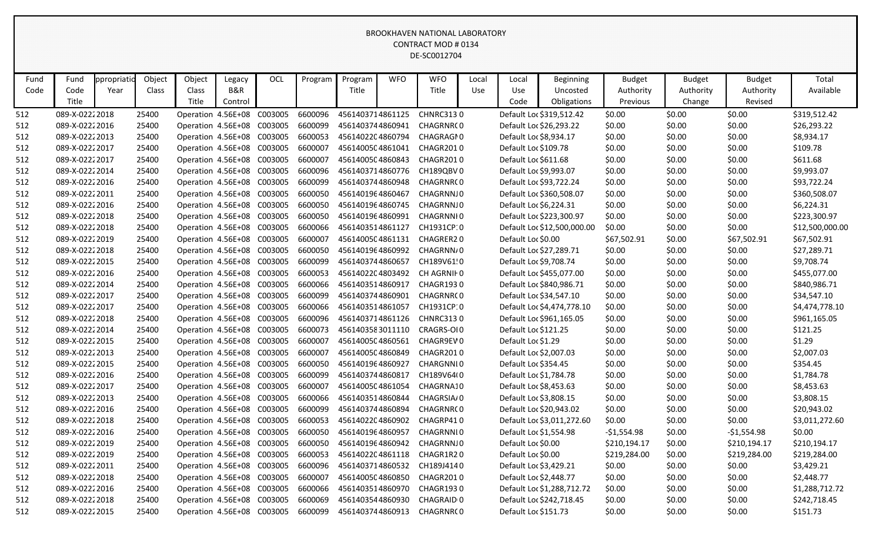| Fund | Fund           | ppropriatio | Object | Object                     | Legacy         | OCL     | Program | Program          | <b>WFO</b> | <b>WFO</b>                  | Local | Local                  | <b>Beginning</b>            | <b>Budget</b> | <b>Budget</b> | <b>Budget</b> | Total           |
|------|----------------|-------------|--------|----------------------------|----------------|---------|---------|------------------|------------|-----------------------------|-------|------------------------|-----------------------------|---------------|---------------|---------------|-----------------|
| Code | Code           | Year        | Class  | Class                      | <b>B&amp;R</b> |         |         | Title            |            | Title                       | Use   | Use                    | Uncosted                    | Authority     | Authority     | Authority     | Available       |
|      | Title          |             |        | Title                      | Control        |         |         |                  |            |                             |       | Code                   | Obligations                 | Previous      | Change        | Revised       |                 |
| 512  | 089-X-02222018 |             | 25400  | Operation 4.56E+08         |                | C003005 | 6600096 | 4561403714861125 |            | <b>CHNRC3130</b>            |       |                        | Default Loc \$319,512.42    | \$0.00        | \$0.00        | \$0.00        | \$319,512.42    |
| 512  | 089-X-02222016 |             | 25400  | Operation 4.56E+08 C003005 |                |         | 6600099 | 4561403744860941 |            | CHAGRNR(0                   |       |                        | Default Loc \$26,293.22     | \$0.00        | \$0.00        | \$0.00        | \$26,293.22     |
| 512  | 089-X-02222013 |             | 25400  | Operation 4.56E+08 C003005 |                |         | 6600053 | 4561402204860794 |            | CHAGRAGI0                   |       | Default Loc \$8,934.17 |                             | \$0.00        | \$0.00        | \$0.00        | \$8,934.17      |
| 512  | 089-X-02222017 |             | 25400  | Operation 4.56E+08 C003005 |                |         | 6600007 | 4561400504861041 |            | CHAGR2010                   |       | Default Loc \$109.78   |                             | \$0.00        | \$0.00        | \$0.00        | \$109.78        |
| 512  | 089-X-02222017 |             | 25400  | Operation 4.56E+08 C003005 |                |         | 6600007 | 4561400504860843 |            | CHAGR2010                   |       | Default Loc \$611.68   |                             | \$0.00        | \$0.00        | \$0.00        | \$611.68        |
| 512  | 089-X-02222014 |             | 25400  | Operation 4.56E+08 C003005 |                |         | 6600096 | 4561403714860776 |            | CH189QBV0                   |       | Default Loc \$9,993.07 |                             | \$0.00        | \$0.00        | \$0.00        | \$9,993.07      |
| 512  | 089-X-02222016 |             | 25400  | Operation 4.56E+08 C003005 |                |         | 6600099 | 4561403744860948 |            | CHAGRNR(0                   |       |                        | Default Loc \$93,722.24     | \$0.00        | \$0.00        | \$0.00        | \$93,722.24     |
| 512  | 089-X-02222011 |             | 25400  | Operation 4.56E+08 C003005 |                |         | 6600050 | 4561401964860467 |            | CHAGRNNJ0                   |       |                        | Default Loc \$360,508.07    | \$0.00        | \$0.00        | \$0.00        | \$360,508.07    |
| 512  | 089-X-02222016 |             | 25400  | Operation 4.56E+08 C003005 |                |         | 6600050 | 4561401964860745 |            | CHAGRNNJ0                   |       | Default Loc \$6,224.31 |                             | \$0.00        | \$0.00        | \$0.00        | \$6,224.31      |
| 512  | 089-X-02222018 |             | 25400  | Operation 4.56E+08 C003005 |                |         | 6600050 | 4561401964860991 |            | CHAGRNNI0                   |       |                        | Default Loc \$223,300.97    | \$0.00        | \$0.00        | \$0.00        | \$223,300.97    |
| 512  | 089-X-02222018 |             | 25400  | Operation 4.56E+08 C003005 |                |         | 6600066 | 4561403514861127 |            | CH1931CP:0                  |       |                        | Default Loc \$12,500,000.00 | \$0.00        | \$0.00        | \$0.00        | \$12,500,000.00 |
| 512  | 089-X-02222019 |             | 25400  | Operation 4.56E+08 C003005 |                |         | 6600007 | 4561400504861131 |            | CHAGRER20                   |       | Default Loc \$0.00     |                             | \$67,502.91   | \$0.00        | \$67,502.91   | \$67,502.91     |
| 512  | 089-X-02222018 |             | 25400  | Operation 4.56E+08 C003005 |                |         | 6600050 | 4561401964860992 |            | CHAGRNN/0                   |       |                        | Default Loc \$27,289.71     | \$0.00        | \$0.00        | \$0.00        | \$27,289.71     |
| 512  | 089-X-02222015 |             | 25400  | Operation 4.56E+08 C003005 |                |         | 6600099 | 4561403744860657 |            | CH189V61!0                  |       | Default Loc \$9,708.74 |                             | \$0.00        | \$0.00        | \$0.00        | \$9,708.74      |
| 512  | 089-X-02222016 |             | 25400  | Operation 4.56E+08 C003005 |                |         | 6600053 | 4561402204803492 |            | CH AGRNIF 0                 |       |                        | Default Loc \$455,077.00    | \$0.00        | \$0.00        | \$0.00        | \$455,077.00    |
| 512  | 089-X-02222014 |             | 25400  | Operation 4.56E+08 C003005 |                |         | 6600066 | 4561403514860917 |            | CHAGR1930                   |       |                        | Default Loc \$840,986.71    | \$0.00        | \$0.00        | \$0.00        | \$840,986.71    |
| 512  | 089-X-02222017 |             | 25400  | Operation 4.56E+08 C003005 |                |         | 6600099 | 4561403744860901 |            | CHAGRNR(0                   |       |                        | Default Loc \$34,547.10     | \$0.00        | \$0.00        | \$0.00        | \$34,547.10     |
| 512  | 089-X-02222017 |             | 25400  | Operation 4.56E+08 C003005 |                |         | 6600066 | 4561403514861057 |            | CH1931CP:0                  |       |                        | Default Loc \$4,474,778.10  | \$0.00        | \$0.00        | \$0.00        | \$4,474,778.10  |
| 512  | 089-X-02222018 |             | 25400  | Operation 4.56E+08 C003005 |                |         | 6600096 | 4561403714861126 |            | <b>CHNRC3130</b>            |       |                        | Default Loc \$961,165.05    | \$0.00        | \$0.00        | \$0.00        | \$961,165.05    |
| 512  | 089-X-02222014 |             | 25400  | Operation 4.56E+08 C003005 |                |         | 6600073 |                  |            | 4561403583011110 CRAGRS-OI0 |       | Default Loc \$121.25   |                             | \$0.00        | \$0.00        | \$0.00        | \$121.25        |
| 512  | 089-X-02222015 |             | 25400  | Operation 4.56E+08 C003005 |                |         | 6600007 |                  |            | 4561400504860561 CHAGR9EV0  |       | Default Loc \$1.29     |                             | \$0.00        | \$0.00        | \$0.00        | \$1.29          |
| 512  | 089-X-02222013 |             | 25400  | Operation 4.56E+08 C003005 |                |         | 6600007 | 4561400504860849 |            | CHAGR2010                   |       | Default Loc \$2,007.03 |                             | \$0.00        | \$0.00        | \$0.00        | \$2,007.03      |
| 512  | 089-X-02222015 |             | 25400  | Operation 4.56E+08 C003005 |                |         | 6600050 | 4561401964860927 |            | CHARGNNI0                   |       | Default Loc \$354.45   |                             | \$0.00        | \$0.00        | \$0.00        | \$354.45        |
| 512  | 089-X-02222016 |             | 25400  | Operation 4.56E+08 C003005 |                |         | 6600099 | 4561403744860817 |            | CH189V64(0                  |       | Default Loc \$1,784.78 |                             | \$0.00        | \$0.00        | \$0.00        | \$1,784.78      |
| 512  | 089-X-02222017 |             | 25400  | Operation 4.56E+08 C003005 |                |         | 6600007 | 4561400504861054 |            | CHAGRNA10                   |       | Default Loc \$8,453.63 |                             | \$0.00        | \$0.00        | \$0.00        | \$8,453.63      |
| 512  | 089-X-02222013 |             | 25400  | Operation 4.56E+08 C003005 |                |         | 6600066 | 4561403514860844 |            | CHAGRSIA/0                  |       | Default Loc \$3,808.15 |                             | \$0.00        | \$0.00        | \$0.00        | \$3,808.15      |
| 512  | 089-X-02222016 |             | 25400  | Operation 4.56E+08 C003005 |                |         | 6600099 | 4561403744860894 |            | CHAGRNR(0                   |       |                        | Default Loc \$20,943.02     | \$0.00        | \$0.00        | \$0.00        | \$20,943.02     |
| 512  | 089-X-02222018 |             | 25400  | Operation 4.56E+08 C003005 |                |         | 6600053 |                  |            | 4561402204860902 CHAGRP410  |       |                        | Default Loc \$3,011,272.60  | \$0.00        | \$0.00        | \$0.00        | \$3,011,272.60  |
| 512  | 089-X-02222016 |             | 25400  | Operation 4.56E+08 C003005 |                |         | 6600050 | 4561401964860957 |            | CHAGRNNI0                   |       | Default Loc \$1,554.98 |                             | $-$1,554.98$  | \$0.00        | $-$1,554.98$  | \$0.00          |
| 512  | 089-X-02222019 |             | 25400  | Operation 4.56E+08 C003005 |                |         | 6600050 |                  |            | 4561401964860942 CHAGRNNJ0  |       | Default Loc \$0.00     |                             | \$210,194.17  | \$0.00        | \$210,194.17  | \$210,194.17    |
| 512  | 089-X-02222019 |             | 25400  | Operation 4.56E+08 C003005 |                |         | 6600053 |                  |            | 4561402204861118 CHAGR1R20  |       | Default Loc \$0.00     |                             | \$219,284.00  | \$0.00        | \$219,284.00  | \$219,284.00    |
| 512  | 089-X-02222011 |             | 25400  | Operation 4.56E+08 C003005 |                |         | 6600096 |                  |            | 4561403714860532 CH189J4140 |       | Default Loc \$3,429.21 |                             | \$0.00        | \$0.00        | \$0.00        | \$3,429.21      |
| 512  | 089-X-02222018 |             | 25400  | Operation 4.56E+08 C003005 |                |         | 6600007 |                  |            | 4561400504860850 CHAGR2010  |       | Default Loc \$2,448.77 |                             | \$0.00        | \$0.00        | \$0.00        | \$2,448.77      |
| 512  | 089-X-02222016 |             | 25400  | Operation 4.56E+08 C003005 |                |         | 6600066 |                  |            | 4561403514860970 CHAGR1930  |       |                        | Default Loc \$1,288,712.72  | \$0.00        | \$0.00        | \$0.00        | \$1,288,712.72  |
| 512  | 089-X-02222018 |             | 25400  | Operation 4.56E+08 C003005 |                |         | 6600069 |                  |            | 4561403544860930 CHAGRAID 0 |       |                        | Default Loc \$242,718.45    | \$0.00        | \$0.00        | \$0.00        | \$242,718.45    |
| 512  | 089-X-02222015 |             | 25400  | Operation 4.56E+08 C003005 |                |         | 6600099 |                  |            | 4561403744860913 CHAGRNR(0  |       | Default Loc \$151.73   |                             | \$0.00        | \$0.00        | \$0.00        | \$151.73        |
|      |                |             |        |                            |                |         |         |                  |            |                             |       |                        |                             |               |               |               |                 |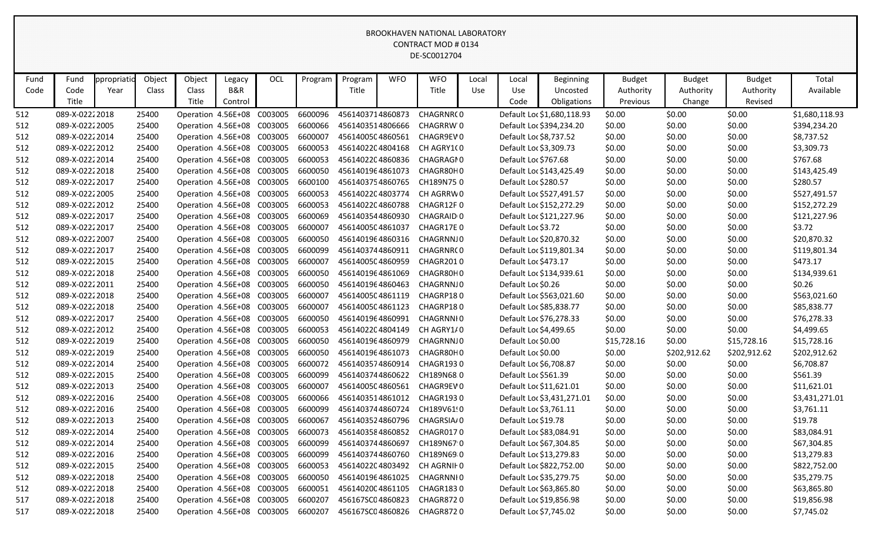| Fund | Fund            | <b>propriatic</b> | Object | Object                     | Legacy  | OCL     | Program | Program          | <b>WFO</b> | <b>WFO</b>                  | Local | Local                  | <b>Beginning</b>           | <b>Budget</b> | <b>Budget</b> | <b>Budget</b> | Total          |
|------|-----------------|-------------------|--------|----------------------------|---------|---------|---------|------------------|------------|-----------------------------|-------|------------------------|----------------------------|---------------|---------------|---------------|----------------|
| Code | Code            | Year              | Class  | Class                      | B&R     |         |         | Title            |            | Title                       | Use   | Use                    | Uncosted                   | Authority     | Authority     | Authority     | Available      |
|      | Title           |                   |        | Title                      | Control |         |         |                  |            |                             |       | Code                   | Obligations                | Previous      | Change        | Revised       |                |
| 512  | 089-X-02222018  |                   | 25400  | Operation 4.56E+08         |         | C003005 | 6600096 | 4561403714860873 |            | CHAGRNR(0                   |       |                        | Default Loc \$1,680,118.93 | \$0.00        | \$0.00        | \$0.00        | \$1,680,118.93 |
| 512  | 089-X-0222 2005 |                   | 25400  | Operation 4.56E+08 C003005 |         |         | 6600066 | 4561403514806666 |            | CHAGRRW'0                   |       |                        | Default Loc \$394,234.20   | \$0.00        | \$0.00        | \$0.00        | \$394,234.20   |
| 512  | 089-X-02222014  |                   | 25400  | Operation 4.56E+08 C003005 |         |         | 6600007 | 4561400504860561 |            | CHAGR9EV0                   |       |                        | Default Loc \$8,737.52     | \$0.00        | \$0.00        | \$0.00        | \$8,737.52     |
| 512  | 089-X-02222012  |                   | 25400  | Operation 4.56E+08 C003005 |         |         | 6600053 | 4561402204804168 |            | CH AGRY1(0                  |       | Default Loc \$3,309.73 |                            | \$0.00        | \$0.00        | \$0.00        | \$3,309.73     |
| 512  | 089-X-02222014  |                   | 25400  | Operation 4.56E+08 C003005 |         |         | 6600053 | 4561402204860836 |            | CHAGRAGI0                   |       | Default Loc \$767.68   |                            | \$0.00        | \$0.00        | \$0.00        | \$767.68       |
| 512  | 089-X-02222018  |                   | 25400  | Operation 4.56E+08 C003005 |         |         | 6600050 | 4561401964861073 |            | CHAGR80H0                   |       |                        | Default Loc \$143,425.49   | \$0.00        | \$0.00        | \$0.00        | \$143,425.49   |
| 512  | 089-X-02222017  |                   | 25400  | Operation 4.56E+08 C003005 |         |         | 6600100 | 4561403754860765 |            | CH189N750                   |       | Default Loc \$280.57   |                            | \$0.00        | \$0.00        | \$0.00        | \$280.57       |
| 512  | 089-X-0222 2005 |                   | 25400  | Operation 4.56E+08 C003005 |         |         | 6600053 | 4561402204803774 |            | CH AGRRW0                   |       |                        | Default Loc \$527,491.57   | \$0.00        | \$0.00        | \$0.00        | \$527,491.57   |
| 512  | 089-X-02222012  |                   | 25400  | Operation 4.56E+08 C003005 |         |         | 6600053 | 4561402204860788 |            | CHAGR12F0                   |       |                        | Default Loc \$152,272.29   | \$0.00        | \$0.00        | \$0.00        | \$152,272.29   |
| 512  | 089-X-02222017  |                   | 25400  | Operation 4.56E+08 C003005 |         |         | 6600069 | 4561403544860930 |            | CHAGRAID 0                  |       |                        | Default Loc \$121,227.96   | \$0.00        | \$0.00        | \$0.00        | \$121,227.96   |
| 512  | 089-X-02222017  |                   | 25400  | Operation 4.56E+08 C003005 |         |         | 6600007 | 4561400504861037 |            | CHAGR17E0                   |       | Default Loc \$3.72     |                            | \$0.00        | \$0.00        | \$0.00        | \$3.72         |
| 512  | 089-X-02222007  |                   | 25400  | Operation 4.56E+08 C003005 |         |         | 6600050 | 4561401964860316 |            | CHAGRNNJ0                   |       |                        | Default Loc \$20,870.32    | \$0.00        | \$0.00        | \$0.00        | \$20,870.32    |
| 512  | 089-X-02222017  |                   | 25400  | Operation 4.56E+08 C003005 |         |         | 6600099 | 4561403744860911 |            | CHAGRNR(0                   |       |                        | Default Loc \$119,801.34   | \$0.00        | \$0.00        | \$0.00        | \$119,801.34   |
| 512  | 089-X-02222015  |                   | 25400  | Operation 4.56E+08 C003005 |         |         | 6600007 | 4561400504860959 |            | CHAGR2010                   |       | Default Loc \$473.17   |                            | \$0.00        | \$0.00        | \$0.00        | \$473.17       |
| 512  | 089-X-02222018  |                   | 25400  | Operation 4.56E+08 C003005 |         |         | 6600050 | 4561401964861069 |            | CHAGR80H0                   |       |                        | Default Loc \$134,939.61   | \$0.00        | \$0.00        | \$0.00        | \$134,939.61   |
| 512  | 089-X-02222011  |                   | 25400  | Operation 4.56E+08 C003005 |         |         | 6600050 | 4561401964860463 |            | CHAGRNNJ0                   |       | Default Loc \$0.26     |                            | \$0.00        | \$0.00        | \$0.00        | \$0.26         |
| 512  | 089-X-02222018  |                   | 25400  | Operation 4.56E+08 C003005 |         |         | 6600007 | 4561400504861119 |            | CHAGRP180                   |       |                        | Default Loc \$563,021.60   | \$0.00        | \$0.00        | \$0.00        | \$563,021.60   |
| 512  | 089-X-02222018  |                   | 25400  | Operation 4.56E+08 C003005 |         |         | 6600007 | 4561400504861123 |            | CHAGRP180                   |       |                        | Default Loc \$85,838.77    | \$0.00        | \$0.00        | \$0.00        | \$85,838.77    |
| 512  | 089-X-02222017  |                   | 25400  | Operation 4.56E+08 C003005 |         |         | 6600050 | 4561401964860991 |            | CHAGRNNI 0                  |       |                        | Default Loc \$76,278.33    | \$0.00        | \$0.00        | \$0.00        | \$76,278.33    |
| 512  | 089-X-02222012  |                   | 25400  | Operation 4.56E+08 C003005 |         |         | 6600053 | 4561402204804149 |            | CH AGRY1/0                  |       |                        | Default Loc \$4,499.65     | \$0.00        | \$0.00        | \$0.00        | \$4,499.65     |
| 512  | 089-X-02222019  |                   | 25400  | Operation 4.56E+08 C003005 |         |         | 6600050 | 4561401964860979 |            | CHAGRNNJ0                   |       | Default Loc \$0.00     |                            | \$15,728.16   | \$0.00        | \$15,728.16   | \$15,728.16    |
| 512  | 089-X-02222019  |                   | 25400  | Operation 4.56E+08 C003005 |         |         | 6600050 | 4561401964861073 |            | CHAGR80H0                   |       | Default Loc \$0.00     |                            | \$0.00        | \$202,912.62  | \$202,912.62  | \$202,912.62   |
| 512  | 089-X-02222014  |                   | 25400  | Operation 4.56E+08 C003005 |         |         | 6600072 | 4561403574860914 |            | CHAGR1930                   |       |                        | Default Loc \$6,708.87     | \$0.00        | \$0.00        | \$0.00        | \$6,708.87     |
| 512  | 089-X-02222015  |                   | 25400  | Operation 4.56E+08 C003005 |         |         | 6600099 | 4561403744860622 |            | CH189N68.0                  |       | Default Loc \$561.39   |                            | \$0.00        | \$0.00        | \$0.00        | \$561.39       |
| 512  | 089-X-02222013  |                   | 25400  | Operation 4.56E+08         |         | C003005 | 6600007 | 4561400504860561 |            | CHAGR9EV0                   |       |                        | Default Loc \$11,621.01    | \$0.00        | \$0.00        | \$0.00        | \$11,621.01    |
| 512  | 089-X-02222016  |                   | 25400  | Operation 4.56E+08 C003005 |         |         | 6600066 | 4561403514861012 |            | CHAGR1930                   |       |                        | Default Loc \$3,431,271.01 | \$0.00        | \$0.00        | \$0.00        | \$3,431,271.01 |
| 512  | 089-X-02222016  |                   | 25400  | Operation 4.56E+08 C003005 |         |         | 6600099 | 4561403744860724 |            | CH189V61!0                  |       |                        | Default Loc \$3,761.11     | \$0.00        | \$0.00        | \$0.00        | \$3,761.11     |
| 512  | 089-X-02222013  |                   | 25400  | Operation 4.56E+08 C003005 |         |         | 6600067 | 4561403524860796 |            | CHAGRSIA/0                  |       | Default Loc \$19.78    |                            | \$0.00        | \$0.00        | \$0.00        | \$19.78        |
| 512  | 089-X-02222014  |                   | 25400  | Operation 4.56E+08 C003005 |         |         | 6600073 |                  |            | 4561403584860852 CHAGR0170  |       |                        | Default Loc \$83,084.91    | \$0.00        | \$0.00        | \$0.00        | \$83,084.91    |
| 512  | 089-X-02222014  |                   | 25400  | Operation 4.56E+08 C003005 |         |         | 6600099 | 4561403744860697 |            | CH189N67 0                  |       |                        | Default Loc \$67,304.85    | \$0.00        | \$0.00        | \$0.00        | \$67,304.85    |
| 512  | 089-X-02222016  |                   | 25400  | Operation 4.56E+08 C003005 |         |         | 6600099 |                  |            | 4561403744860760 CH189N690  |       |                        | Default Loc \$13,279.83    | \$0.00        | \$0.00        | \$0.00        | \$13,279.83    |
| 512  | 089-X-02222015  |                   | 25400  | Operation 4.56E+08 C003005 |         |         | 6600053 |                  |            | 4561402204803492 CH AGRNIF0 |       |                        | Default Loc \$822,752.00   | \$0.00        | \$0.00        | \$0.00        | \$822,752.00   |
| 512  | 089-X-02222018  |                   | 25400  | Operation 4.56E+08 C003005 |         |         | 6600050 | 4561401964861025 |            | CHAGRNNI0                   |       |                        | Default Loc \$35,279.75    | \$0.00        | \$0.00        | \$0.00        | \$35,279.75    |
| 512  | 089-X-02222018  |                   | 25400  | Operation 4.56E+08 C003005 |         |         | 6600051 |                  |            | 456140200 4861105 CHAGR1830 |       |                        | Default Loc \$63,865.80    | \$0.00        | \$0.00        | \$0.00        | \$63,865.80    |
| 517  | 089-X-02222018  |                   | 25400  | Operation 4.56E+08 C003005 |         |         | 6600207 | 456167SC04860823 |            | CHAGR8720                   |       |                        | Default Loc \$19,856.98    | \$0.00        | \$0.00        | \$0.00        | \$19,856.98    |
| 517  | 089-X-02222018  |                   | 25400  | Operation 4.56E+08 C003005 |         |         | 6600207 |                  |            | 456167SC04860826 CHAGR8720  |       |                        | Default Loc \$7,745.02     | \$0.00        | \$0.00        | \$0.00        | \$7,745.02     |
|      |                 |                   |        |                            |         |         |         |                  |            |                             |       |                        |                            |               |               |               |                |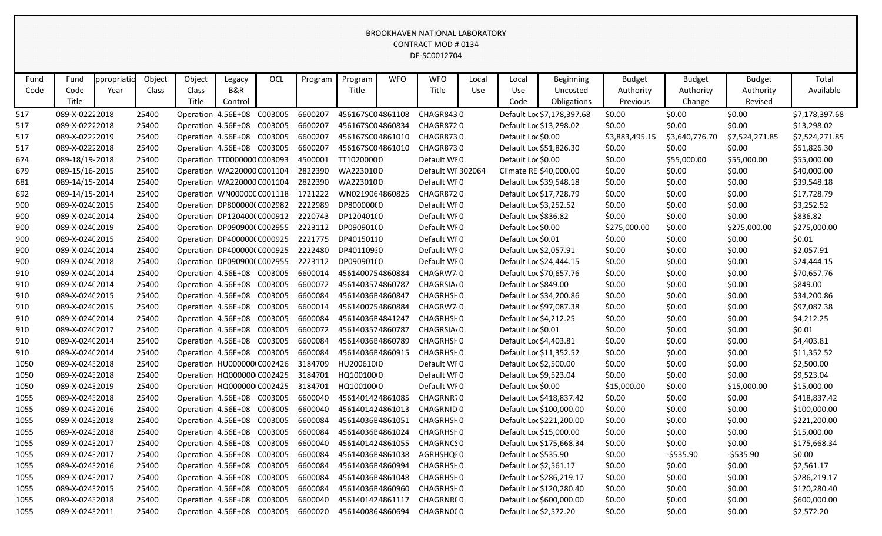| Fund | Fund           | ppropriatio | Object | Object             | Legacy                      | OCL     | Program | Program          | <b>WFO</b> | <b>WFO</b>                 | Local | Local              | <b>Beginning</b>           | <b>Budget</b>  | <b>Budget</b>  | <b>Budget</b>  | Total          |
|------|----------------|-------------|--------|--------------------|-----------------------------|---------|---------|------------------|------------|----------------------------|-------|--------------------|----------------------------|----------------|----------------|----------------|----------------|
| Code | Code           | Year        | Class  | Class              | <b>B&amp;R</b>              |         |         | Title            |            | Title                      | Use   | Use                | Uncosted                   | Authority      | Authority      | Authority      | Available      |
|      | Title          |             |        | Title              | Control                     |         |         |                  |            |                            |       | Code               | Obligations                | Previous       | Change         | Revised        |                |
| 517  | 089-X-02222018 |             | 25400  | Operation 4.56E+08 |                             | C003005 | 6600207 | 456167SC04861108 |            | <b>CHAGR8430</b>           |       |                    | Default Loc \$7,178,397.68 | \$0.00         | \$0.00         | \$0.00         | \$7,178,397.68 |
| 517  | 089-X-02222018 |             | 25400  |                    | Operation 4.56E+08 C003005  |         | 6600207 | 456167SC04860834 |            | <b>CHAGR8720</b>           |       |                    | Default Loc \$13,298.02    | \$0.00         | \$0.00         | \$0.00         | \$13,298.02    |
| 517  | 089-X-02222019 |             | 25400  |                    | Operation 4.56E+08 C003005  |         | 6600207 | 456167SC04861010 |            | <b>CHAGR8730</b>           |       | Default Loc \$0.00 |                            | \$3,883,495.15 | \$3,640,776.70 | \$7,524,271.85 | \$7,524,271.85 |
| 517  | 089-X-02222018 |             | 25400  |                    | Operation 4.56E+08 C003005  |         | 6600207 | 456167SC04861010 |            | <b>CHAGR8730</b>           |       |                    | Default Loc \$51,826.30    | \$0.00         | \$0.00         | \$0.00         | \$51,826.30    |
| 674  | 089-18/19-2018 |             | 25400  |                    | Operation TT0000000 C003093 |         | 4500001 | TT10200000       |            | Default WF0                |       | Default Loc \$0.00 |                            | \$0.00         | \$55,000.00    | \$55,000.00    | \$55,000.00    |
| 679  | 089-15/16-2015 |             | 25400  |                    | Operation WA220000 C001104  |         | 2822390 | WA2230100        |            | Default WF 302064          |       |                    | Climate RE \$40,000.00     | \$0.00         | \$0.00         | \$0.00         | \$40,000.00    |
| 681  | 089-14/15-2014 |             | 25400  |                    | Operation WA220000 C001104  |         | 2822390 | WA2230100        |            | Default WI0                |       |                    | Default Loc \$39,548.18    | \$0.00         | \$0.00         | \$0.00         | \$39,548.18    |
| 692  | 089-14/15-2014 |             | 25400  |                    | Operation WN00000CC001118   |         | 1721222 | WN0219064860825  |            | <b>CHAGR8720</b>           |       |                    | Default Loc \$17,728.79    | \$0.00         | \$0.00         | \$0.00         | \$17,728.79    |
| 900  | 089-X-024(2015 |             | 25400  |                    | Operation DP800000(C002982  |         | 2222989 | DP800000(0       |            | Default WF0                |       |                    | Default Loc \$3,252.52     | \$0.00         | \$0.00         | \$0.00         | \$3,252.52     |
| 900  | 089-X-024(2014 |             | 25400  |                    | Operation DP120400(C000912  |         | 2220743 | DP120401(0       |            | Default WF0                |       |                    | Default Loc \$836.82       | \$0.00         | \$0.00         | \$0.00         | \$836.82       |
| 900  | 089-X-024(2019 |             | 25400  |                    | Operation DP090900(C002955  |         | 2223112 | DP090901(0       |            | Default WF0                |       | Default Loc \$0.00 |                            | \$275,000.00   | \$0.00         | \$275,000.00   | \$275,000.00   |
| 900  | 089-X-024(2015 |             | 25400  |                    | Operation DP400000(C000925  |         | 2221775 | DP40150110       |            | Default WI0                |       | Default Loc \$0.01 |                            | \$0.00         | \$0.00         | \$0.00         | \$0.01         |
| 900  | 089-X-024(2014 |             | 25400  |                    | Operation DP400000(C000925  |         | 2222480 | DP401109:0       |            | Default WF0                |       |                    | Default Loc \$2,057.91     | \$0.00         | \$0.00         | \$0.00         | \$2,057.91     |
| 900  | 089-X-024(2018 |             | 25400  |                    | Operation DP090900(C002955  |         | 2223112 | DP090901(0       |            | Default WF0                |       |                    | Default Loc \$24,444.15    | \$0.00         | \$0.00         | \$0.00         | \$24,444.15    |
| 910  | 089-X-024(2014 |             | 25400  |                    | Operation 4.56E+08 C003005  |         | 6600014 | 4561400754860884 |            | CHAGRW7 <sub>0</sub>       |       |                    | Default Loc \$70,657.76    | \$0.00         | \$0.00         | \$0.00         | \$70,657.76    |
| 910  | 089-X-024(2014 |             | 25400  |                    | Operation 4.56E+08 C003005  |         | 6600072 | 4561403574860787 |            | CHAGRSIA/0                 |       |                    | Default Loc \$849.00       | \$0.00         | \$0.00         | \$0.00         | \$849.00       |
| 910  | 089-X-024(2015 |             | 25400  |                    | Operation 4.56E+08 C003005  |         | 6600084 | 45614036E4860847 |            | CHAGRHSI 0                 |       |                    | Default Loc \$34,200.86    | \$0.00         | \$0.00         | \$0.00         | \$34,200.86    |
| 910  | 089-X-024(2015 |             | 25400  |                    | Operation 4.56E+08 C003005  |         | 6600014 | 4561400754860884 |            | CHAGRW7 <sub>0</sub>       |       |                    | Default Loc \$97,087.38    | \$0.00         | \$0.00         | \$0.00         | \$97,087.38    |
| 910  | 089-X-024(2014 |             | 25400  |                    | Operation 4.56E+08 C003005  |         | 6600084 | 45614036E4841247 |            | <b>CHAGRHSF0</b>           |       |                    | Default Loc \$4,212.25     | \$0.00         | \$0.00         | \$0.00         | \$4,212.25     |
| 910  | 089-X-024(2017 |             | 25400  |                    | Operation 4.56E+08 C003005  |         | 6600072 | 4561403574860787 |            | CHAGRSIA/0                 |       | Default Loc \$0.01 |                            | \$0.00         | \$0.00         | \$0.00         | \$0.01         |
| 910  | 089-X-024(2014 |             | 25400  |                    | Operation 4.56E+08 C003005  |         | 6600084 | 45614036E4860789 |            | CHAGRHSI 0                 |       |                    | Default Loc \$4,403.81     | \$0.00         | \$0.00         | \$0.00         | \$4,403.81     |
| 910  | 089-X-024(2014 |             | 25400  |                    | Operation 4.56E+08 C003005  |         | 6600084 | 45614036E4860915 |            | <b>CHAGRHSF0</b>           |       |                    | Default Loc \$11,352.52    | \$0.00         | \$0.00         | \$0.00         | \$11,352.52    |
| 1050 | 089-X-02432018 |             | 25400  |                    | Operation HU000000 C002426  |         | 3184709 | HU200610(0       |            | Default WI0                |       |                    | Default Loc \$2,500.00     | \$0.00         | \$0.00         | \$0.00         | \$2,500.00     |
| 1050 | 089-X-02432018 |             | 25400  |                    | Operation HQ000000 C002425  |         | 3184701 | HQ100100 0       |            | Default WF0                |       |                    | Default Loc \$9,523.04     | \$0.00         | \$0.00         | \$0.00         | \$9,523.04     |
| 1050 | 089-X-02432019 |             | 25400  |                    | Operation HQ000000 C002425  |         | 3184701 | HQ100100 0       |            | Default WF0                |       | Default Loc \$0.00 |                            | \$15,000.00    | \$0.00         | \$15,000.00    | \$15,000.00    |
| 1055 | 089-X-02432018 |             | 25400  |                    | Operation 4.56E+08 C003005  |         | 6600040 | 4561401424861085 |            | CHAGRNR70                  |       |                    | Default Loc \$418,837.42   | \$0.00         | \$0.00         | \$0.00         | \$418,837.42   |
| 1055 | 089-X-02432016 |             | 25400  |                    | Operation 4.56E+08          | C003005 | 6600040 | 4561401424861013 |            | <b>CHAGRNID 0</b>          |       |                    | Default Loc \$100,000.00   | \$0.00         | \$0.00         | \$0.00         | \$100,000.00   |
| 1055 | 089-X-02432018 |             | 25400  |                    | Operation 4.56E+08          | C003005 | 6600084 | 45614036E4861051 |            | CHAGRHS <sub>F0</sub>      |       |                    | Default Loc \$221,200.00   | \$0.00         | \$0.00         | \$0.00         | \$221,200.00   |
| 1055 | 089-X-02432018 |             | 25400  |                    | Operation 4.56E+08 C003005  |         | 6600084 | 45614036E4861024 |            | CHAGRHSI 0                 |       |                    | Default Loc \$15,000.00    | \$0.00         | \$0.00         | \$0.00         | \$15,000.00    |
| 1055 | 089-X-02432017 |             | 25400  |                    | Operation 4.56E+08 C003005  |         | 6600040 | 4561401424861055 |            | <b>CHAGRNCS 0</b>          |       |                    | Default Loc \$175,668.34   | \$0.00         | \$0.00         | \$0.00         | \$175,668.34   |
| 1055 | 089-X-02432017 |             | 25400  |                    | Operation 4.56E+08 C003005  |         | 6600084 | 45614036E4861038 |            | AGRHSHQI0                  |       |                    | Default Loc \$535.90       | \$0.00         | $-5535.90$     | -\$535.90      | \$0.00         |
| 1055 | 089-X-02432016 |             | 25400  |                    | Operation 4.56E+08 C003005  |         | 6600084 | 45614036E4860994 |            | CHAGRHSF0                  |       |                    | Default Loc \$2,561.17     | \$0.00         | \$0.00         | \$0.00         | \$2,561.17     |
| 1055 | 089-X-02432017 |             | 25400  |                    | Operation 4.56E+08 C003005  |         | 6600084 | 45614036E4861048 |            | CHAGRHSF0                  |       |                    | Default Loc \$286,219.17   | \$0.00         | \$0.00         | \$0.00         | \$286,219.17   |
| 1055 | 089-X-02432015 |             | 25400  |                    | Operation 4.56E+08 C003005  |         | 6600084 |                  |            | 45614036E4860960 CHAGRHSF0 |       |                    | Default Loc \$120,280.40   | \$0.00         | \$0.00         | \$0.00         | \$120,280.40   |
| 1055 | 089-X-02432018 |             | 25400  |                    | Operation 4.56E+08 C003005  |         | 6600040 | 4561401424861117 |            | CHAGRNR(0                  |       |                    | Default Loc \$600,000.00   | \$0.00         | \$0.00         | \$0.00         | \$600,000.00   |
| 1055 | 089-X-02432011 |             | 25400  |                    | Operation 4.56E+08 C003005  |         | 6600020 | 4561400864860694 |            | CHAGRN0CO                  |       |                    | Default Loc \$2,572.20     | \$0.00         | \$0.00         | \$0.00         | \$2,572.20     |
|      |                |             |        |                    |                             |         |         |                  |            |                            |       |                    |                            |                |                |                |                |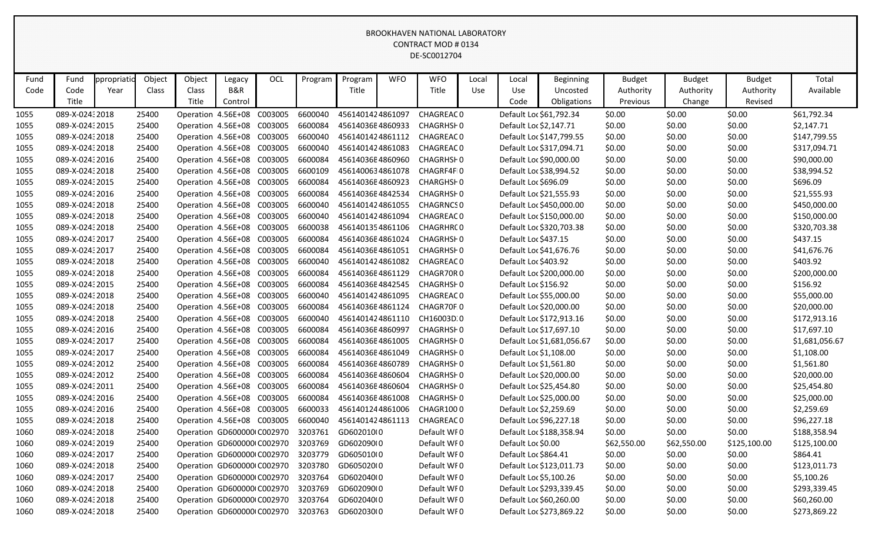| Fund         | Fund                             | ppropriatio | Object         | Object                                           |                          | OCL     | Program            | Program                              | <b>WFO</b> | <b>WFO</b>                      | Local | Local                | <b>Beginning</b>           | <b>Budget</b>    | <b>Budget</b>    | <b>Budget</b>    | Total                        |
|--------------|----------------------------------|-------------|----------------|--------------------------------------------------|--------------------------|---------|--------------------|--------------------------------------|------------|---------------------------------|-------|----------------------|----------------------------|------------------|------------------|------------------|------------------------------|
| Code         | Code                             | Year        | Class          | Class                                            | Legacy<br><b>B&amp;R</b> |         |                    | Title                                |            | Title                           | Use   | Use                  | Uncosted                   | Authority        | Authority        | Authority        | Available                    |
|              | Title                            |             |                | Title                                            | Control                  |         |                    |                                      |            |                                 |       | Code                 | Obligations                | Previous         | Change           | Revised          |                              |
| 1055         | 089-X-024: 2018                  |             | 25400          | Operation 4.56E+08                               |                          | C003005 | 6600040            | 4561401424861097                     |            | CHAGREAC 0                      |       |                      | Default Loc \$61,792.34    | \$0.00           | \$0.00           | \$0.00           | \$61,792.34                  |
| 1055         | 089-X-0243 2015                  |             | 25400          | Operation 4.56E+08                               |                          | C003005 | 6600084            | 45614036E4860933                     |            | CHAGRHSH0                       |       |                      | Default Loc \$2,147.71     | \$0.00           | \$0.00           | \$0.00           | \$2,147.71                   |
| 1055         | 089-X-02432018                   |             | 25400          | Operation 4.56E+08                               |                          | C003005 | 6600040            | 4561401424861112                     |            | CHAGREAC 0                      |       |                      | Default Loc \$147,799.55   | \$0.00           | \$0.00           | \$0.00           | \$147,799.55                 |
|              | 089-X-02432018                   |             | 25400          | Operation 4.56E+08                               |                          | C003005 | 6600040            | 4561401424861083                     |            | CHAGREAC 0                      |       |                      | Default Loc \$317,094.71   |                  | \$0.00           | \$0.00           | \$317,094.71                 |
| 1055         | 089-X-02432016                   |             | 25400          |                                                  |                          | C003005 | 6600084            | 45614036E4860960                     |            | CHAGRHSH0                       |       |                      | Default Loc \$90,000.00    | \$0.00           |                  | \$0.00           |                              |
| 1055         | 089-X-02432018                   |             | 25400          | Operation 4.56E+08                               |                          | C003005 | 6600109            | 4561400634861078                     |            | CHAGRF4FI0                      |       |                      |                            | \$0.00           | \$0.00           |                  | \$90,000.00                  |
| 1055         |                                  |             |                | Operation 4.56E+08                               |                          |         |                    |                                      |            |                                 |       |                      | Default Loc \$38,994.52    | \$0.00           | \$0.00           | \$0.00           | \$38,994.52                  |
| 1055         | 089-X-02432015                   |             | 25400          | Operation 4.56E+08                               |                          | C003005 | 6600084            | 45614036E4860923                     |            | CHARGHSH0                       |       | Default Loc \$696.09 |                            | \$0.00           | \$0.00           | \$0.00           | \$696.09                     |
| 1055         | 089-X-02432016                   |             | 25400          | Operation 4.56E+08 C003005                       |                          |         | 6600084<br>6600040 | 45614036E4842534                     |            | CHAGRHSH0                       |       |                      | Default Loc \$21,555.93    | \$0.00           | \$0.00           | \$0.00           | \$21,555.93                  |
| 1055         | 089-X-02432018<br>089-X-02432018 |             | 25400<br>25400 | Operation 4.56E+08<br>Operation 4.56E+08 C003005 |                          | C003005 | 6600040            | 4561401424861055<br>4561401424861094 |            | <b>CHAGRNCS 0</b><br>CHAGREAC 0 |       |                      | Default Loc \$450,000.00   | \$0.00           | \$0.00<br>\$0.00 | \$0.00           | \$450,000.00                 |
| 1055         | 089-X-02432018                   |             | 25400          | Operation 4.56E+08                               |                          | C003005 |                    | 4561401354861106                     |            | CHAGRHRC 0                      |       |                      | Default Loc \$150,000.00   | \$0.00           |                  | \$0.00           | \$150,000.00<br>\$320,703.38 |
| 1055         |                                  |             | 25400          |                                                  |                          | C003005 | 6600038            |                                      |            | CHAGRHSH0                       |       | Default Loc \$437.15 | Default Loc \$320,703.38   | \$0.00           | \$0.00           | \$0.00           |                              |
| 1055         | 089-X-02432017<br>089-X-02432017 |             | 25400          | Operation 4.56E+08<br>Operation 4.56E+08         |                          | C003005 | 6600084<br>6600084 | 45614036E4861024<br>45614036E4861051 |            | CHAGRHSH0                       |       |                      | Default Loc \$41,676.76    | \$0.00           | \$0.00<br>\$0.00 | \$0.00<br>\$0.00 | \$437.15<br>\$41,676.76      |
| 1055<br>1055 | 089-X-02432018                   |             | 25400          | Operation 4.56E+08                               |                          | C003005 | 6600040            | 4561401424861082                     |            | <b>CHAGREAC 0</b>               |       | Default Loc \$403.92 |                            | \$0.00<br>\$0.00 | \$0.00           | \$0.00           | \$403.92                     |
| 1055         | 089-X-02432018                   |             | 25400          | Operation 4.56E+08                               |                          | C003005 | 6600084            | 45614036E4861129                     |            | CHAGR70R0                       |       |                      | Default Loc \$200,000.00   | \$0.00           | \$0.00           | \$0.00           | \$200,000.00                 |
| 1055         | 089-X-02432015                   |             | 25400          | Operation 4.56E+08 C003005                       |                          |         | 6600084            | 45614036E4842545                     |            | CHAGRHSH0                       |       | Default Loc \$156.92 |                            | \$0.00           | \$0.00           | \$0.00           | \$156.92                     |
| 1055         | 089-X-02432018                   |             | 25400          | Operation 4.56E+08                               |                          | C003005 | 6600040            | 4561401424861095                     |            | CHAGREAC 0                      |       |                      | Default Loc \$55,000.00    | \$0.00           | \$0.00           | \$0.00           | \$55,000.00                  |
| 1055         | 089-X-02432018                   |             | 25400          | Operation 4.56E+08                               |                          | C003005 | 6600084            | 45614036E4861124                     |            | CHAGR70F.0                      |       |                      | Default Loc \$20,000.00    | \$0.00           | \$0.00           | \$0.00           | \$20,000.00                  |
| 1055         | 089-X-02432018                   |             | 25400          | Operation 4.56E+08                               |                          | C003005 | 6600040            | 4561401424861110                     |            | CH16003D.0                      |       |                      | Default Loc \$172,913.16   | \$0.00           | \$0.00           | \$0.00           | \$172,913.16                 |
| 1055         | 089-X-02432016                   |             | 25400          | Operation 4.56E+08                               |                          | C003005 | 6600084            | 45614036E4860997                     |            | CHAGRHSF0                       |       |                      | Default Loc \$17,697.10    | \$0.00           | \$0.00           | \$0.00           | \$17,697.10                  |
| 1055         | 089-X-02432017                   |             | 25400          | Operation 4.56E+08                               |                          | C003005 | 6600084            | 45614036E4861005                     |            | CHAGRHSH0                       |       |                      | Default Loc \$1,681,056.67 | \$0.00           | \$0.00           | \$0.00           | \$1,681,056.67               |
| 1055         | 089-X-02432017                   |             | 25400          | Operation 4.56E+08                               |                          | C003005 | 6600084            | 45614036E4861049                     |            | CHAGRHSH0                       |       |                      | Default Loc \$1,108.00     | \$0.00           | \$0.00           | \$0.00           | \$1,108.00                   |
| 1055         | 089-X-02432012                   |             | 25400          | Operation 4.56E+08                               |                          | C003005 | 6600084            | 45614036E4860789                     |            | CHAGRHSH0                       |       |                      | Default Loc \$1,561.80     | \$0.00           | \$0.00           | \$0.00           | \$1,561.80                   |
| 1055         | 089-X-02432012                   |             | 25400          | Operation 4.56E+08                               |                          | C003005 | 6600084            | 45614036E4860604                     |            | CHAGRHSH0                       |       |                      | Default Loc \$20,000.00    | \$0.00           | \$0.00           | \$0.00           | \$20,000.00                  |
| 1055         | 089-X-02432011                   |             | 25400          | Operation 4.56E+08                               |                          | C003005 | 6600084            | 45614036E4860604                     |            | CHAGRHSH0                       |       |                      | Default Loc \$25,454.80    | \$0.00           | \$0.00           | \$0.00           | \$25,454.80                  |
| 1055         | 089-X-02432016                   |             | 25400          | Operation 4.56E+08                               |                          | C003005 | 6600084            | 45614036E4861008                     |            | CHAGRHSH0                       |       |                      | Default Loc \$25,000.00    | \$0.00           | \$0.00           | \$0.00           | \$25,000.00                  |
| 1055         | 089-X-02432016                   |             | 25400          | Operation 4.56E+08                               |                          | C003005 | 6600033            | 4561401244861006                     |            | CHAGR1000                       |       |                      | Default Loc \$2,259.69     | \$0.00           | \$0.00           | \$0.00           | \$2,259.69                   |
| 1055         | 089-X-024: 2018                  |             | 25400          | Operation 4.56E+08 C003005                       |                          |         | 6600040            | 4561401424861113                     |            | CHAGREAC 0                      |       |                      | Default Loc \$96,227.18    | \$0.00           | \$0.00           | \$0.00           | \$96,227.18                  |
| 1060         | 089-X-02432018                   |             | 25400          | Operation GD600000 C002970                       |                          |         | 3203761            | GD602010(0                           |            | Default WF0                     |       |                      | Default Loc \$188,358.94   | \$0.00           | \$0.00           | \$0.00           | \$188,358.94                 |
| 1060         | 089-X-02432019                   |             | 25400          | Operation GD600000 C002970                       |                          |         | 3203769            | GD602090(0                           |            | Default WF0                     |       | Default Loc \$0.00   |                            | \$62,550.00      | \$62,550.00      | \$125,100.00     | \$125,100.00                 |
| 1060         | 089-X-02432017                   |             | 25400          | Operation GD600000 C002970                       |                          |         | 3203779            | GD605010(0                           |            | Default WI0                     |       | Default Loc \$864.41 |                            | \$0.00           | \$0.00           | \$0.00           | \$864.41                     |
| 1060         | 089-X-02432018                   |             | 25400          | Operation GD600000 C002970                       |                          |         | 3203780            | GD605020(0                           |            | Default WF0                     |       |                      | Default Loc \$123,011.73   | \$0.00           | \$0.00           | \$0.00           | \$123,011.73                 |
| 1060         | 089-X-02432017                   |             | 25400          | Operation GD600000 C002970                       |                          |         | 3203764            | GD602040(0                           |            | Default WF0                     |       |                      | Default Loc \$5,100.26     | \$0.00           | \$0.00           | \$0.00           | \$5,100.26                   |
| 1060         | 089-X-02432018                   |             | 25400          | Operation GD600000 C002970                       |                          |         | 3203769            | GD602090(0                           |            | Default WF0                     |       |                      | Default Loc \$293,339.45   | \$0.00           | \$0.00           | \$0.00           | \$293,339.45                 |
| 1060         | 089-X-02432018                   |             | 25400          | Operation GD600000(C002970                       |                          |         | 3203764            | GD602040(0                           |            | Default WF0                     |       |                      | Default Loc \$60,260.00    | \$0.00           | \$0.00           | \$0.00           | \$60,260.00                  |
| 1060         | 089-X-02432018                   |             | 25400          | Operation GD600000(C002970                       |                          |         | 3203763            | GD602030(0                           |            | Default WF0                     |       |                      | Default Loc \$273,869.22   | \$0.00           | \$0.00           | \$0.00           | \$273,869.22                 |
|              |                                  |             |                |                                                  |                          |         |                    |                                      |            |                                 |       |                      |                            |                  |                  |                  |                              |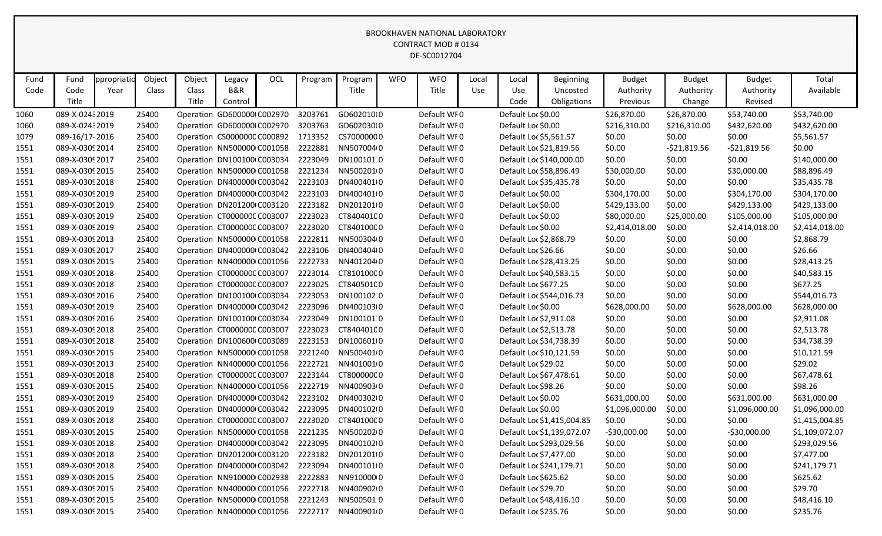| Fund | Fund            | ppropriatio | Object | Object | Legacy                      | OCL | Program | Program    | <b>WFO</b> | <b>WFO</b>  | Local | Local               | <b>Beginning</b>           | <b>Budget</b>  | <b>Budget</b> | <b>Budget</b>  | Total          |
|------|-----------------|-------------|--------|--------|-----------------------------|-----|---------|------------|------------|-------------|-------|---------------------|----------------------------|----------------|---------------|----------------|----------------|
| Code | Code            | Year        | Class  | Class  | <b>B&amp;R</b>              |     |         | Title      |            | Title       | Use   | Use                 | Uncosted                   | Authority      | Authority     | Authority      | Available      |
|      | Title           |             |        | Title  | Control                     |     |         |            |            |             |       | Code                | Obligations                | Previous       | Change        | Revised        |                |
| 1060 | 089-X-02432019  |             | 25400  |        | Operation GD600000(C002970  |     | 3203761 | GD602010(0 |            | Default WF0 |       | Default Loc \$0.00  |                            | \$26,870.00    | \$26,870.00   | \$53,740.00    | \$53,740.00    |
| 1060 | 089-X-02432019  |             | 25400  |        | Operation GD600000(C002970  |     | 3203763 | GD602030(0 |            | Default WI0 |       | Default Loc \$0.00  |                            | \$216,310.00   | \$216,310.00  | \$432,620.00   | \$432,620.00   |
| 1079 | 089-16/17-2016  |             | 25400  |        | Operation CS0000000 C000892 |     | 1713352 | CS70000000 |            | Default WF0 |       |                     | Default Loc \$5,561.57     | \$0.00         | \$0.00        | \$0.00         | \$5,561.57     |
| 1551 | 089-X-0309 2014 |             | 25400  |        | Operation NN500000 C001058  |     | 2222881 | NN5070040  |            | Default WF0 |       |                     | Default Loc \$21,819.56    | \$0.00         | $-521,819.56$ | $-521,819.56$  | \$0.00         |
| 1551 | 089-X-0309 2017 |             | 25400  |        | Operation DN100100 C003034  |     | 2223049 | DN1001010  |            | Default WF0 |       |                     | Default Loc \$140,000.00   | \$0.00         | \$0.00        | \$0.00         | \$140,000.00   |
| 1551 | 089-X-0309 2015 |             | 25400  |        | Operation NN500000 C001058  |     | 2221234 | NN5002010  |            | Default WF0 |       |                     | Default Loc \$58,896.49    | \$30,000.00    | \$0.00        | \$30,000.00    | \$88,896.49    |
| 1551 | 089-X-03092018  |             | 25400  |        | Operation DN400000 C003042  |     | 2223103 | DN400401(0 |            | Default WF0 |       |                     | Default Loc \$35,435.78    | \$0.00         | \$0.00        | \$0.00         | \$35,435.78    |
| 1551 | 089-X-0309 2019 |             | 25400  |        | Operation DN400000 C003042  |     | 2223103 | DN400401(0 |            | Default WF0 |       | Default Loc \$0.00  |                            | \$304,170.00   | \$0.00        | \$304,170.00   | \$304,170.00   |
| 1551 | 089-X-0309 2019 |             | 25400  |        | Operation DN201200 C003120  |     | 2223182 | DN201201(0 |            | Default WF0 |       | Default Loc \$0.00  |                            | \$429,133.00   | \$0.00        | \$429,133.00   | \$429,133.00   |
| 1551 | 089-X-0309 2019 |             | 25400  |        | Operation CT000000CC003007  |     | 2223023 | CT84040100 |            | Default WF0 |       | Default Loc \$0.00  |                            | \$80,000.00    | \$25,000.00   | \$105,000.00   | \$105,000.00   |
| 1551 | 089-X-0309 2019 |             | 25400  |        | Operation CT000000CC003007  |     | 2223020 | CT84010000 |            | Default WF0 |       | Default Loc \$0.00  |                            | \$2,414,018.00 | \$0.00        | \$2,414,018.00 | \$2,414,018.00 |
| 1551 | 089-X-0309 2013 |             | 25400  |        | Operation NN500000 C001058  |     | 2222811 | NN5003040  |            | Default WF0 |       |                     | Default Loc \$2,868.79     | \$0.00         | \$0.00        | \$0.00         | \$2,868.79     |
| 1551 | 089-X-0309 2017 |             | 25400  |        | Operation DN400000 C003042  |     | 2223106 | DN400404(0 |            | Default WF0 |       | Default Loc \$26.66 |                            | \$0.00         | \$0.00        | \$0.00         | \$26.66        |
| 1551 | 089-X-0309 2015 |             | 25400  |        | Operation NN400000 C001056  |     | 2222733 | NN4012040  |            | Default WF0 |       |                     | Default Loc \$28,413.25    | \$0.00         | \$0.00        | \$0.00         | \$28,413.25    |
| 1551 | 089-X-0309 2018 |             | 25400  |        | Operation CT000000CC003007  |     | 2223014 | CT81010000 |            | Default WF0 |       |                     | Default Loc \$40,583.15    | \$0.00         | \$0.00        | \$0.00         | \$40,583.15    |
| 1551 | 089-X-0309 2018 |             | 25400  |        | Operation CT000000CC003007  |     | 2223025 | CT84050100 |            | Default WF0 |       |                     | Default Loc \$677.25       | \$0.00         | \$0.00        | \$0.00         | \$677.25       |
| 1551 | 089-X-0309 2016 |             | 25400  |        | Operation DN100100 C003034  |     | 2223053 | DN100102.0 |            | Default WF0 |       |                     | Default Loc \$544,016.73   | \$0.00         | \$0.00        | \$0.00         | \$544,016.73   |
| 1551 | 089-X-0309 2019 |             | 25400  |        | Operation DN400000 C003042  |     | 2223096 | DN400103(0 |            | Default WI0 |       | Default Loc \$0.00  |                            | \$628,000.00   | \$0.00        | \$628,000.00   | \$628,000.00   |
| 1551 | 089-X-0309 2016 |             | 25400  |        | Operation DN100100 C003034  |     | 2223049 | DN1001010  |            | Default WF0 |       |                     | Default Loc \$2,911.08     | \$0.00         | \$0.00        | \$0.00         | \$2,911.08     |
| 1551 | 089-X-0309 2018 |             | 25400  |        | Operation CT000000CC003007  |     | 2223023 | CT84040100 |            | Default WF0 |       |                     | Default Loc \$2,513.78     | \$0.00         | \$0.00        | \$0.00         | \$2,513.78     |
| 1551 | 089-X-0309 2018 |             | 25400  |        | Operation DN100600 C003089  |     | 2223153 | DN100601(0 |            | Default WF0 |       |                     | Default Loc \$34,738.39    | \$0.00         | \$0.00        | \$0.00         | \$34,738.39    |
| 1551 | 089-X-0309 2015 |             | 25400  |        | Operation NN500000 C001058  |     | 2221240 | NN5004010  |            | Default WF0 |       |                     | Default Loc \$10,121.59    | \$0.00         | \$0.00        | \$0.00         | \$10,121.59    |
| 1551 | 089-X-0309 2013 |             | 25400  |        | Operation NN400000 C001056  |     | 2222721 | NN4010010  |            | Default WF0 |       |                     | Default Loc \$29.02        | \$0.00         | \$0.00        | \$0.00         | \$29.02        |
| 1551 | 089-X-0309 2018 |             | 25400  |        | Operation CT000000C C003007 |     | 2223144 | CT800000C0 |            | Default WF0 |       |                     | Default Loc \$67,478.61    | \$0.00         | \$0.00        | \$0.00         | \$67,478.61    |
| 1551 | 089-X-0309 2015 |             | 25400  |        | Operation NN400000 C001056  |     | 2222719 | NN4009030  |            | Default WI0 |       | Default Loc \$98.26 |                            | \$0.00         | \$0.00        | \$0.00         | \$98.26        |
| 1551 | 089-X-0309 2019 |             | 25400  |        | Operation DN400000 C003042  |     | 2223102 | DN400302I0 |            | Default WF0 |       | Default Loc \$0.00  |                            | \$631,000.00   | \$0.00        | \$631,000.00   | \$631,000.00   |
| 1551 | 089-X-0309 2019 |             | 25400  |        | Operation DN400000 C003042  |     | 2223095 | DN400102(0 |            | Default WF0 |       | Default Loc \$0.00  |                            | \$1,096,000.00 | \$0.00        | \$1,096,000.00 | \$1,096,000.00 |
| 1551 | 089-X-0309 2018 |             | 25400  |        | Operation CT000000CC003007  |     | 2223020 | CT84010000 |            | Default WF0 |       |                     | Default Loc \$1,415,004.85 | \$0.00         | \$0.00        | \$0.00         | \$1,415,004.85 |
| 1551 | 089-X-0309 2015 |             | 25400  |        | Operation NN500000 C001058  |     | 2221235 | NN5002020  |            | Default WF0 |       |                     | Default Loc \$1,139,072.07 | $-$30,000.00$  | \$0.00        | $-530,000.00$  | \$1,109,072.07 |
| 1551 | 089-X-0309 2018 |             | 25400  |        | Operation DN400000 C003042  |     | 2223095 | DN400102I0 |            | Default WF0 |       |                     | Default Loc \$293,029.56   | \$0.00         | \$0.00        | \$0.00         | \$293,029.56   |
| 1551 | 089-X-0309 2018 |             | 25400  |        | Operation DN201200 C003120  |     | 2223182 | DN2012010  |            | Default WF0 |       |                     | Default Loc \$7,477.00     | \$0.00         | \$0.00        | \$0.00         | \$7,477.00     |
| 1551 | 089-X-0309 2018 |             | 25400  |        | Operation DN400000 C003042  |     | 2223094 | DN400101(0 |            | Default WF0 |       |                     | Default Loc \$241,179.71   | \$0.00         | \$0.00        | \$0.00         | \$241,179.71   |
| 1551 | 089-X-0309 2015 |             | 25400  |        | Operation NN910000 C002938  |     | 2222883 | NN91000000 |            | Default WF0 |       |                     | Default Loc \$625.62       | \$0.00         | \$0.00        | \$0.00         | \$625.62       |
| 1551 | 089-X-0309 2015 |             | 25400  |        | Operation NN400000 C001056  |     | 2222718 | NN4009020  |            | Default WF0 |       |                     | Default Loc \$29.70        | \$0.00         | \$0.00        | \$0.00         | \$29.70        |
| 1551 | 089-X-0309 2015 |             | 25400  |        | Operation NN500000 C001058  |     | 2221243 | NN5005010  |            | Default WF0 |       |                     | Default Loc \$48,416.10    | \$0.00         | \$0.00        | \$0.00         | \$48,416.10    |
| 1551 | 089-X-0309 2015 |             | 25400  |        | Operation NN400000 C001056  |     | 2222717 | NN4009010  |            | Default WF0 |       |                     | Default Loc \$235.76       | \$0.00         | \$0.00        | \$0.00         | \$235.76       |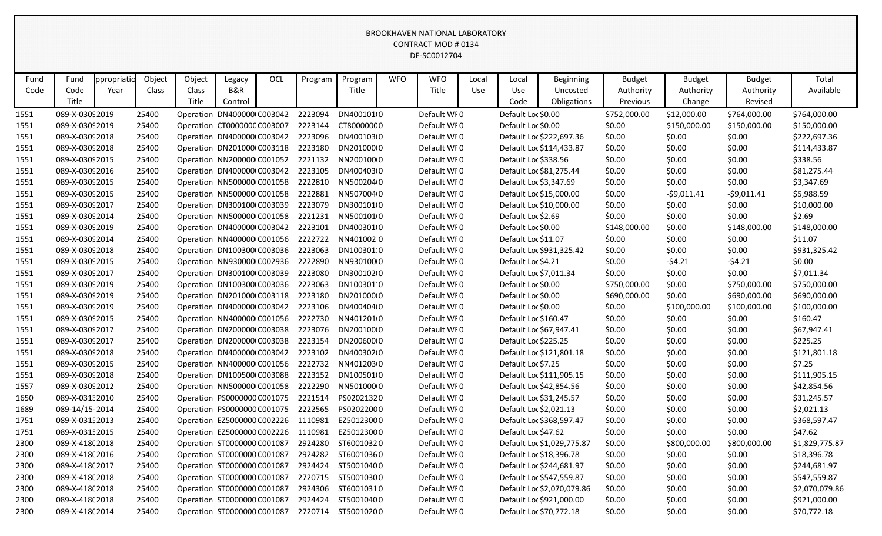|              | Fund                               |                     |                 |                 |                                                          | OCL |                    |                         | <b>WFO</b> | <b>WFO</b>                 |              |                    |                              |                       |                            |                            | Total                    |
|--------------|------------------------------------|---------------------|-----------------|-----------------|----------------------------------------------------------|-----|--------------------|-------------------------|------------|----------------------------|--------------|--------------------|------------------------------|-----------------------|----------------------------|----------------------------|--------------------------|
| Fund<br>Code | Code                               | ppropriatio<br>Year | Object<br>Class | Object<br>Class | Legacy<br><b>B&amp;R</b>                                 |     | Program            | Program<br>Title        |            | Title                      | Local<br>Use | Local<br>Use       | <b>Beginning</b><br>Uncosted | <b>Budget</b>         | <b>Budget</b><br>Authority | <b>Budget</b><br>Authority | Available                |
|              | Title                              |                     |                 | Title           | Control                                                  |     |                    |                         |            |                            |              | Code               | Obligations                  | Authority<br>Previous | Change                     | Revised                    |                          |
|              | 089-X-0309 2019                    |                     |                 |                 |                                                          |     |                    |                         |            |                            |              |                    |                              |                       |                            |                            |                          |
| 1551         |                                    |                     | 25400           |                 | Operation DN400000 C003042                               |     | 2223094            | DN400101(0              |            | Default WF0                |              | Default Loc \$0.00 |                              | \$752,000.00          | \$12,000.00                | \$764,000.00               | \$764,000.00             |
| 1551         | 089-X-0309 2019                    |                     | 25400           |                 | Operation CT000000C C003007                              |     | 2223144            | CT800000C0              |            | Default WI0                |              | Default Loc \$0.00 |                              | \$0.00                | \$150,000.00               | \$150,000.00               | \$150,000.00             |
| 1551         | 089-X-0309 2018                    |                     | 25400           |                 | Operation DN400000 C003042                               |     | 2223096            | DN400103(0              |            | Default WF0                |              |                    | Default Loc \$222,697.36     | \$0.00                | \$0.00                     | \$0.00                     | \$222,697.36             |
| 1551         | 089-X-0309 2018                    |                     | 25400           |                 | Operation DN201000 C003118                               |     | 2223180            | DN201000 0              |            | Default WF0                |              |                    | Default Loc \$114,433.87     | \$0.00                | \$0.00                     | \$0.00                     | \$114,433.87             |
| 1551         | 089-X-0309 2015                    |                     | 25400           |                 | Operation NN200000 C001052                               |     | 2221132            | NN200100 0              |            | Default WF0                |              |                    | Default Loc \$338.56         | \$0.00                | \$0.00                     | \$0.00                     | \$338.56                 |
| 1551         | 089-X-0309 2016                    |                     | 25400           |                 | Operation DN400000 C003042                               |     | 2223105            | DN400403(0              |            | Default WF0                |              |                    | Default Loc \$81,275.44      | \$0.00                | \$0.00                     | \$0.00                     | \$81,275.44              |
| 1551         | 089-X-0309 2015                    |                     | 25400           |                 | Operation NN500000 C001058                               |     | 2222810            | NN5002040               |            | Default WF0                |              |                    | Default Loc \$3,347.69       | \$0.00                | \$0.00                     | \$0.00                     | \$3,347.69               |
| 1551         | 089-X-0309 2015                    |                     | 25400           |                 | Operation NN500000 C001058                               |     | 2222881            | NN5070040               |            | Default WF0                |              |                    | Default Loc \$15,000.00      | \$0.00                | $-59,011.41$               | $-59,011.41$               | \$5,988.59               |
| 1551         | 089-X-0309 2017                    |                     | 25400           |                 | Operation DN300100 C003039                               |     | 2223079            | DN300101(0              |            | Default WF0                |              |                    | Default Loc \$10,000.00      | \$0.00                | \$0.00                     | \$0.00                     | \$10,000.00              |
| 1551         | 089-X-0309 2014                    |                     | 25400           |                 | Operation NN500000 C001058                               |     | 2221231            | NN5001010               |            | Default WF0                |              | Default Loc \$2.69 |                              | \$0.00                | \$0.00                     | \$0.00                     | \$2.69                   |
| 1551         | 089-X-0309 2019                    |                     | 25400           |                 | Operation DN400000 C003042                               |     | 2223101            | DN400301(0              |            | Default WF0                |              | Default Loc \$0.00 |                              | \$148,000.00          | \$0.00                     | \$148,000.00               | \$148,000.00             |
| 1551         | 089-X-0309 2014                    |                     | 25400           |                 | Operation NN400000 C001056                               |     | 2222722            | NN4010020               |            | Default WF0                |              |                    | Default Loc \$11.07          | \$0.00                | \$0.00                     | \$0.00                     | \$11.07                  |
| 1551         | 089-X-0309 2018                    |                     | 25400           |                 | Operation DN100300 C003036                               |     | 2223063            | DN100301.0              |            | Default WF0                |              |                    | Default Loc \$931,325.42     | \$0.00                | \$0.00                     | \$0.00                     | \$931,325.42             |
| 1551         | 089-X-0309 2015                    |                     | 25400           |                 | Operation NN930000 C002936                               |     | 2222890            | NN9301000<br>DN300102(0 |            | Default WF0                |              | Default Loc \$4.21 |                              | \$0.00                | $-54.21$                   | $-54.21$                   | \$0.00                   |
| 1551         | 089-X-0309 2017                    |                     | 25400           |                 | Operation DN300100 C003039                               |     | 2223080            |                         |            | Default WF0                |              |                    | Default Loc \$7,011.34       | \$0.00                | \$0.00                     | \$0.00                     | \$7,011.34               |
| 1551         | 089-X-0309 2019                    |                     | 25400           |                 | Operation DN100300 C003036                               |     | 2223063            | DN100301.0              |            | Default WF0                |              | Default Loc \$0.00 |                              | \$750,000.00          | \$0.00                     | \$750,000.00               | \$750,000.00             |
| 1551         | 089-X-0309 2019                    |                     | 25400           |                 | Operation DN201000 C003118                               |     | 2223180            | DN201000 0              |            | Default WF0                |              | Default Loc \$0.00 |                              | \$690,000.00          | \$0.00                     | \$690,000.00               | \$690,000.00             |
| 1551         | 089-X-0309 2019<br>089-X-0309 2015 |                     | 25400           |                 | Operation DN400000 C003042                               |     | 2223106            | DN400404(0<br>NN4012010 |            | Default WI0<br>Default WF0 |              | Default Loc \$0.00 |                              | \$0.00                | \$100,000.00               | \$100,000.00               | \$100,000.00<br>\$160.47 |
| 1551         | 089-X-0309 2017                    |                     | 25400<br>25400  |                 | Operation NN400000 C001056                               |     | 2222730<br>2223076 | DN200100(0              |            |                            |              |                    | Default Loc \$160.47         | \$0.00                | \$0.00                     | \$0.00                     |                          |
| 1551         | 089-X-0309 2017                    |                     |                 |                 | Operation DN200000 C003038                               |     | 2223154            | DN20060000              |            | Default WF0<br>Default WF0 |              |                    | Default Loc \$67,947.41      | \$0.00                | \$0.00<br>\$0.00           | \$0.00                     | \$67,947.41              |
| 1551<br>1551 | 089-X-0309 2018                    |                     | 25400<br>25400  |                 | Operation DN200000 C003038<br>Operation DN400000 C003042 |     | 2223102            | DN400302I0              |            | Default WF0                |              |                    | Default Loc \$225.25         | \$0.00                | \$0.00                     | \$0.00                     | \$225.25<br>\$121,801.18 |
|              | 089-X-0309 2015                    |                     | 25400           |                 | Operation NN400000 C001056                               |     | 2222732            | NN4012030               |            | Default WF0                |              | Default Loc \$7.25 | Default Loc \$121,801.18     | \$0.00<br>\$0.00      | \$0.00                     | \$0.00<br>\$0.00           | \$7.25                   |
| 1551         | 089-X-03092018                     |                     | 25400           |                 | Operation DN100500 C003088                               |     | 2223152            | DN100501(0              |            | Default WF0                |              |                    | Default Loc \$111,905.15     |                       | \$0.00                     |                            | \$111,905.15             |
| 1551<br>1557 | 089-X-0309 2012                    |                     | 25400           |                 | Operation NN500000 C001058                               |     | 2222290            | NN501000 0              |            | Default WI0                |              |                    | Default Loc \$42,854.56      | \$0.00<br>\$0.00      | \$0.00                     | \$0.00<br>\$0.00           | \$42,854.56              |
| 1650         | 089-X-03132010                     |                     | 25400           |                 | Operation PS0000000 C001075                              |     | 2221514            | PS02021320              |            | Default WF0                |              |                    | Default Loc \$31,245.57      | \$0.00                | \$0.00                     | \$0.00                     | \$31,245.57              |
| 1689         | 089-14/15-2014                     |                     | 25400           |                 | Operation PS0000000 C001075                              |     | 2222565            | PS02022000              |            | Default WF0                |              |                    | Default Loc \$2,021.13       | \$0.00                | \$0.00                     | \$0.00                     | \$2,021.13               |
| 1751         | 089-X-0315 2013                    |                     | 25400           |                 | Operation EZ5000000 C002226                              |     | 1110981            | EZ50123000              |            | Default WF0                |              |                    | Default Loc \$368,597.47     | \$0.00                | \$0.00                     | \$0.00                     | \$368,597.47             |
| 1751         | 089-X-0315 2015                    |                     | 25400           |                 | Operation EZ5000000 C002226                              |     | 1110981            | EZ50123000              |            | Default WF0                |              |                    | Default Loc \$47.62          | \$0.00                | \$0.00                     | \$0.00                     | \$47.62                  |
| 2300         | 089-X-418(2018                     |                     | 25400           |                 | Operation ST0000000 C001087                              |     | 2924280            | ST60010320              |            | Default WF0                |              |                    | Default Loc \$1,029,775.87   | \$0.00                | \$800,000.00               | \$800,000.00               | \$1,829,775.87           |
| 2300         | 089-X-418(2016                     |                     | 25400           |                 | Operation ST0000000 C001087                              |     | 2924282            | ST60010360              |            | Default WF0                |              |                    | Default Loc \$18,396.78      | \$0.00                | \$0.00                     | \$0.00                     | \$18,396.78              |
| 2300         | 089-X-418(2017                     |                     | 25400           |                 | Operation ST0000000 C001087                              |     | 2924424            | ST50010400              |            | Default WF0                |              |                    | Default Loc \$244,681.97     | \$0.00                | \$0.00                     | \$0.00                     | \$244,681.97             |
| 2300         | 089-X-418(2018                     |                     | 25400           |                 | Operation ST0000000 C001087                              |     | 2720715            | ST50010300              |            | Default WF0                |              |                    | Default Loc \$547,559.87     | \$0.00                | \$0.00                     | \$0.00                     | \$547,559.87             |
| 2300         | 089-X-418(2018                     |                     | 25400           |                 | Operation ST0000000 C001087                              |     | 2924306            | ST60010310              |            | Default WF0                |              |                    | Default Loc \$2,070,079.86   | \$0.00                | \$0.00                     | \$0.00                     | \$2,070,079.86           |
| 2300         | 089-X-418(2018                     |                     | 25400           |                 | Operation ST0000000 C001087                              |     | 2924424            | ST50010400              |            | Default WF0                |              |                    | Default Loc \$921,000.00     | \$0.00                | \$0.00                     | \$0.00                     | \$921,000.00             |
| 2300         | 089-X-418(2014                     |                     | 25400           |                 | Operation ST0000000 C001087                              |     | 2720714            | ST50010200              |            | Default WF0                |              |                    | Default Loc \$70,772.18      | \$0.00                | \$0.00                     | \$0.00                     | \$70,772.18              |
|              |                                    |                     |                 |                 |                                                          |     |                    |                         |            |                            |              |                    |                              |                       |                            |                            |                          |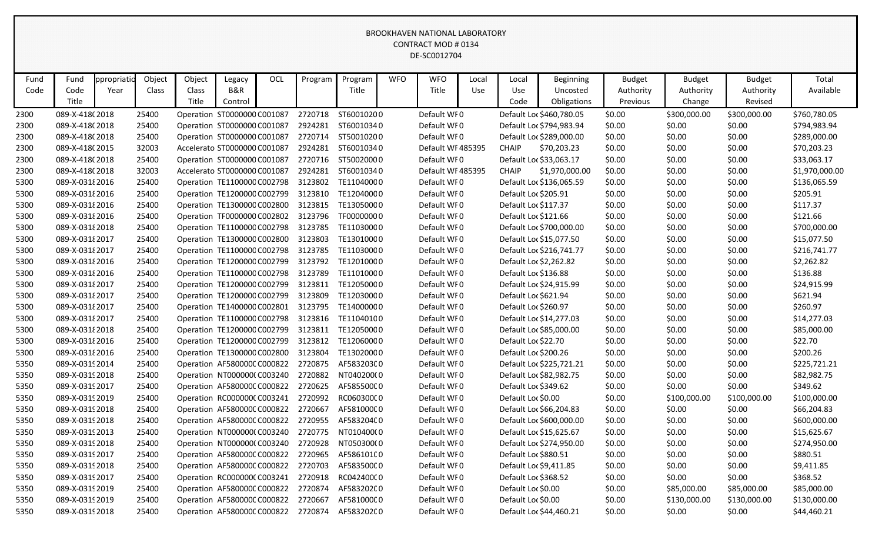| Fund | Fund            | ppropriatic | Object | Object | Legacy                              | OCL | Program | Program    | <b>WFO</b> | <b>WFO</b>       | Local | Local               | <b>Beginning</b>         | <b>Budget</b> | <b>Budget</b> | <b>Budget</b> | Total          |
|------|-----------------|-------------|--------|--------|-------------------------------------|-----|---------|------------|------------|------------------|-------|---------------------|--------------------------|---------------|---------------|---------------|----------------|
| Code | Code            | Year        | Class  | Class  | <b>B&amp;R</b>                      |     |         | Title      |            | Title            | Use   | Use                 | Uncosted                 | Authority     | Authority     | Authority     | Available      |
|      | Title           |             |        | Title  | Control                             |     |         |            |            |                  |       | Code                | Obligations              | Previous      | Change        | Revised       |                |
| 2300 | 089-X-418(2018  |             | 25400  |        | Operation ST0000000 C001087         |     | 2720718 | ST60010200 |            | Default WF0      |       |                     | Default Loc \$460,780.05 | \$0.00        | \$300,000.00  | \$300,000.00  | \$760,780.05   |
| 2300 | 089-X-418(2018  |             | 25400  |        | Operation ST0000000 C001087         |     | 2924281 | ST60010340 |            | Default WI0      |       |                     | Default Loc \$794,983.94 | \$0.00        | \$0.00        | \$0.00        | \$794,983.94   |
| 2300 | 089-X-418(2018  |             | 25400  |        | Operation ST0000000 C001087         |     | 2720714 | ST50010200 |            | Default WF0      |       |                     | Default Loc \$289,000.00 | \$0.00        | \$0.00        | \$0.00        | \$289,000.00   |
| 2300 | 089-X-418(2015  |             | 32003  |        | Accelerato ST0000000 C001087        |     | 2924281 | ST60010340 |            | Default WF485395 |       | <b>CHAIP</b>        | \$70,203.23              | \$0.00        | \$0.00        | \$0.00        | \$70,203.23    |
| 2300 | 089-X-418(2018  |             | 25400  |        | Operation ST0000000 C001087         |     | 2720716 | ST50020000 |            | Default WF0      |       |                     | Default Loc \$33,063.17  | \$0.00        | \$0.00        | \$0.00        | \$33,063.17    |
| 2300 | 089-X-418(2018  |             | 32003  |        | Accelerato ST0000000 C001087        |     | 2924281 | ST60010340 |            | Default WF485395 |       | <b>CHAIP</b>        | \$1,970,000.00           | \$0.00        | \$0.00        | \$0.00        | \$1,970,000.00 |
| 5300 | 089-X-0318 2016 |             | 25400  |        | Operation TE1100000 C002798         |     | 3123802 | TE11040000 |            | Default WF0      |       |                     | Default Loc \$136,065.59 | \$0.00        | \$0.00        | \$0.00        | \$136,065.59   |
| 5300 | 089-X-0318 2016 |             | 25400  |        | Operation TE1200000 C002799         |     | 3123810 | TE12040000 |            | Default WI0      |       |                     | Default Loc \$205.91     | \$0.00        | \$0.00        | \$0.00        | \$205.91       |
| 5300 | 089-X-0318 2016 |             | 25400  |        | Operation TE1300000 C002800         |     | 3123815 | TE13050000 |            | Default WF0      |       |                     | Default Loc \$117.37     | \$0.00        | \$0.00        | \$0.00        | \$117.37       |
| 5300 | 089-X-0318 2016 |             | 25400  |        | Operation TF0000000 C002802         |     | 3123796 | TF00000000 |            | Default WF0      |       |                     | Default Loc \$121.66     | \$0.00        | \$0.00        | \$0.00        | \$121.66       |
| 5300 | 089-X-03182018  |             | 25400  |        | Operation TE1100000 C002798         |     | 3123785 | TE11030000 |            | Default WF0      |       |                     | Default Loc \$700,000.00 | \$0.00        | \$0.00        | \$0.00        | \$700,000.00   |
| 5300 | 089-X-0318 2017 |             | 25400  |        | Operation TE1300000 C002800         |     | 3123803 | TE13010000 |            | Default WF0      |       |                     | Default Loc \$15,077.50  | \$0.00        | \$0.00        | \$0.00        | \$15,077.50    |
| 5300 | 089-X-0318 2017 |             | 25400  |        | Operation TE1100000 C002798         |     | 3123785 | TE11030000 |            | Default WF0      |       |                     | Default Loc \$216,741.77 | \$0.00        | \$0.00        | \$0.00        | \$216,741.77   |
| 5300 | 089-X-0318 2016 |             | 25400  |        | Operation TE1200000 C002799         |     | 3123792 | TE12010000 |            | Default WF0      |       |                     | Default Loc \$2,262.82   | \$0.00        | \$0.00        | \$0.00        | \$2,262.82     |
| 5300 | 089-X-0318 2016 |             | 25400  |        | Operation TE1100000 C002798         |     | 3123789 | TE11010000 |            | Default WF0      |       |                     | Default Loc \$136.88     | \$0.00        | \$0.00        | \$0.00        | \$136.88       |
| 5300 | 089-X-0318 2017 |             | 25400  |        | Operation TE1200000 C002799         |     | 3123811 | TE12050000 |            | Default WF0      |       |                     | Default Loc \$24,915.99  | \$0.00        | \$0.00        | \$0.00        | \$24,915.99    |
| 5300 | 089-X-0318 2017 |             | 25400  |        | Operation TE1200000 C002799         |     | 3123809 | TE12030000 |            | Default WF0      |       |                     | Default Loc \$621.94     | \$0.00        | \$0.00        | \$0.00        | \$621.94       |
| 5300 | 089-X-0318 2017 |             | 25400  |        | Operation TE1400000 C002801         |     | 3123795 | TE14000000 |            | Default WI0      |       |                     | Default Loc \$260.97     | \$0.00        | \$0.00        | \$0.00        | \$260.97       |
| 5300 | 089-X-0318 2017 |             | 25400  |        | Operation TE1100000 C002798         |     | 3123816 | TE11040100 |            | Default WF0      |       |                     | Default Loc \$14,277.03  | \$0.00        | \$0.00        | \$0.00        | \$14,277.03    |
| 5300 | 089-X-03182018  |             | 25400  |        | Operation TE1200000 C002799         |     | 3123811 | TE12050000 |            | Default WF0      |       |                     | Default Loc \$85,000.00  | \$0.00        | \$0.00        | \$0.00        | \$85,000.00    |
| 5300 | 089-X-0318 2016 |             | 25400  |        | Operation TE1200000 C002799         |     | 3123812 | TE12060000 |            | Default WF0      |       | Default Loc \$22.70 |                          | \$0.00        | \$0.00        | \$0.00        | \$22.70        |
| 5300 | 089-X-0318 2016 |             | 25400  |        | Operation TE1300000 C002800         |     | 3123804 | TE13020000 |            | Default WF0      |       |                     | Default Loc \$200.26     | \$0.00        | \$0.00        | \$0.00        | \$200.26       |
| 5350 | 089-X-0319 2014 |             | 25400  |        | Operation AF580000C C000822         |     | 2720875 | AF583203C0 |            | Default WF0      |       |                     | Default Loc \$225,721.21 | \$0.00        | \$0.00        | \$0.00        | \$225,721.21   |
| 5350 | 089-X-0319 2018 |             | 25400  |        | Operation NT000000(C003240          |     | 2720882 | NT040200(0 |            | Default WF0      |       |                     | Default Loc \$82,982.75  | \$0.00        | \$0.00        | \$0.00        | \$82,982.75    |
| 5350 | 089-X-0319 2017 |             | 25400  |        | Operation AF580000C C000822         |     | 2720625 | AF585500C0 |            | Default WF0      |       |                     | Default Loc \$349.62     | \$0.00        | \$0.00        | \$0.00        | \$349.62       |
| 5350 | 089-X-0319 2019 |             | 25400  |        | Operation RC000000CC003241          |     | 2720992 | RC06030000 |            | Default WF0      |       | Default Loc \$0.00  |                          | \$0.00        | \$100,000.00  | \$100,000.00  | \$100,000.00   |
| 5350 | 089-X-0319 2018 |             | 25400  |        | Operation AF580000C C000822         |     | 2720667 | AF581000C0 |            | Default WF0      |       |                     | Default Loc \$66,204.83  | \$0.00        | \$0.00        | \$0.00        | \$66,204.83    |
| 5350 | 089-X-0319 2018 |             | 25400  |        | Operation AF580000CC000822          |     | 2720955 | AF583204C0 |            | Default WF0      |       |                     | Default Loc \$600,000.00 | \$0.00        | \$0.00        | \$0.00        | \$600,000.00   |
| 5350 | 089-X-0319 2013 |             | 25400  |        | Operation NT000000(C003240 2720775  |     |         | NT010400(0 |            | Default WF0      |       |                     | Default Loc \$15,625.67  | \$0.00        | \$0.00        | \$0.00        | \$15,625.67    |
| 5350 | 089-X-0319 2018 |             | 25400  |        | Operation NT000000(C003240          |     | 2720928 | NT050300(0 |            | Default WF0      |       |                     | Default Loc \$274,950.00 | \$0.00        | \$0.00        | \$0.00        | \$274,950.00   |
| 5350 | 089-X-03192017  |             | 25400  |        | Operation AF580000CC000822          |     | 2720965 | AF586101C0 |            | Default WFO      |       |                     | Default Loc \$880.51     | \$0.00        | \$0.00        | \$0.00        | \$880.51       |
| 5350 | 089-X-0319 2018 |             | 25400  |        | Operation AF580000C C000822 2720703 |     |         | AF583500C0 |            | Default WF0      |       |                     | Default Loc \$9,411.85   | \$0.00        | \$0.00        | \$0.00        | \$9,411.85     |
| 5350 | 089-X-0319 2017 |             | 25400  |        | Operation RC000000CC003241 2720918  |     |         | RC04240000 |            | Default WF0      |       |                     | Default Loc \$368.52     | \$0.00        | \$0.00        | \$0.00        | \$368.52       |
| 5350 | 089-X-0319 2019 |             | 25400  |        | Operation AF580000C C000822 2720874 |     |         | AF583202C0 |            | Default WF0      |       | Default Loc \$0.00  |                          | \$0.00        | \$85,000.00   | \$85,000.00   | \$85,000.00    |
| 5350 | 089-X-0319 2019 |             | 25400  |        | Operation AF580000C C000822         |     | 2720667 | AF581000C0 |            | Default WF0      |       | Default Loc \$0.00  |                          | \$0.00        | \$130,000.00  | \$130,000.00  | \$130,000.00   |
| 5350 | 089-X-0319 2018 |             | 25400  |        | Operation AF580000C C000822 2720874 |     |         | AF583202C0 |            | Default WF0      |       |                     | Default Loc \$44,460.21  | \$0.00        | \$0.00        | \$0.00        | \$44,460.21    |
|      |                 |             |        |        |                                     |     |         |            |            |                  |       |                     |                          |               |               |               |                |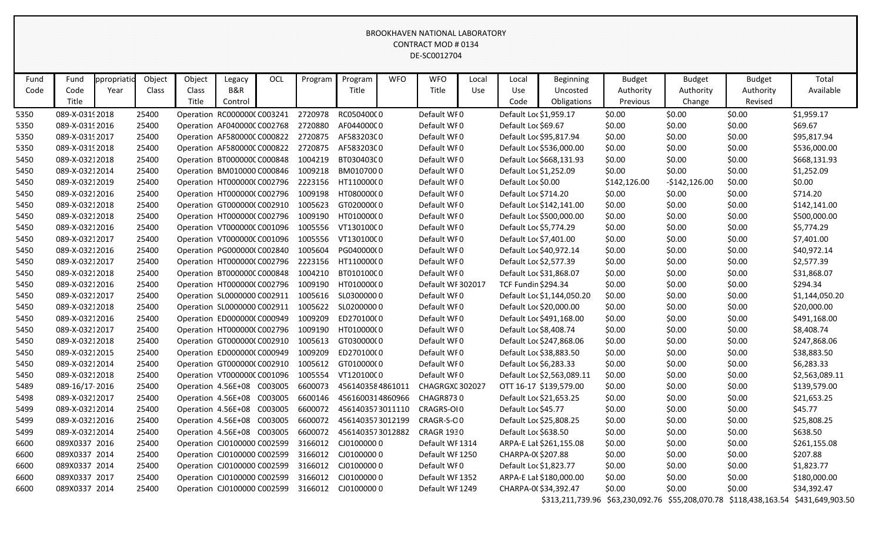| Fund | Fund            | ppropriatio | Object | Object             | Legacy                      | OCL     | Program | Program          | <b>WFO</b> | <b>WFO</b>        | Local | Local                  | Beginning                  | <b>Budget</b> | <b>Budget</b>  | <b>Budget</b> | Total                                                                              |
|------|-----------------|-------------|--------|--------------------|-----------------------------|---------|---------|------------------|------------|-------------------|-------|------------------------|----------------------------|---------------|----------------|---------------|------------------------------------------------------------------------------------|
| Code | Code            | Year        | Class  | Class              | B&R                         |         |         | Title            |            | Title             | Use   | Use                    | Uncosted                   | Authority     | Authority      | Authority     | Available                                                                          |
|      | Title           |             |        | Title              | Control                     |         |         |                  |            |                   |       | Code                   | Obligations                | Previous      | Change         | Revised       |                                                                                    |
| 5350 | 089-X-0319 2018 |             | 25400  |                    | Operation RC000000CC003241  |         | 2720978 | RC05040000       |            | Default WF0       |       | Default Loc \$1,959.17 |                            | \$0.00        | \$0.00         | \$0.00        | \$1,959.17                                                                         |
| 5350 | 089-X-03192016  |             | 25400  |                    | Operation AF040000C C002768 |         | 2720880 | AF044000C0       |            | Default WF0       |       | Default Loc \$69.67    |                            | \$0.00        | \$0.00         | \$0.00        | \$69.67                                                                            |
| 5350 | 089-X-0319 2017 |             | 25400  |                    | Operation AF580000C C000822 |         | 2720875 | AF583203C0       |            | Default WF0       |       |                        | Default Loc \$95,817.94    | \$0.00        | \$0.00         | \$0.00        | \$95,817.94                                                                        |
| 5350 | 089-X-0319 2018 |             | 25400  |                    | Operation AF580000C C000822 |         | 2720875 | AF583203C0       |            | Default WF0       |       |                        | Default Loc \$536,000.00   | \$0.00        | \$0.00         | \$0.00        | \$536,000.00                                                                       |
| 5450 | 089-X-03212018  |             | 25400  |                    | Operation BT000000C C000848 |         | 1004219 | BT030403C0       |            | Default WF0       |       |                        | Default Loc \$668,131.93   | \$0.00        | \$0.00         | \$0.00        | \$668,131.93                                                                       |
| 5450 | 089-X-03212014  |             | 25400  |                    | Operation BM010000 C000846  |         | 1009218 | BM0107000        |            | Default WF0       |       | Default Loc \$1,252.09 |                            | \$0.00        | \$0.00         | \$0.00        | \$1,252.09                                                                         |
| 5450 | 089-X-03212019  |             | 25400  |                    | Operation HT000000(C002796  |         | 2223156 | HT11000000       |            | Default WF0       |       | Default Loc \$0.00     |                            | \$142,126.00  | $-$142,126.00$ | \$0.00        | \$0.00                                                                             |
| 5450 | 089-X-03212016  |             | 25400  |                    | Operation HT0000000 C002796 |         | 1009198 | HT08000000       |            | Default WF0       |       | Default Loc \$714.20   |                            | \$0.00        | \$0.00         | \$0.00        | \$714.20                                                                           |
| 5450 | 089-X-03212018  |             | 25400  |                    | Operation GT0000000 C002910 |         | 1005623 | GT02000000       |            | Default WF0       |       |                        | Default Loc \$142,141.00   | \$0.00        | \$0.00         | \$0.00        | \$142,141.00                                                                       |
| 5450 | 089-X-03212018  |             | 25400  |                    | Operation HT0000000 C002796 |         | 1009190 | HT010000(0       |            | Default WF0       |       |                        | Default Loc \$500,000.00   | \$0.00        | \$0.00         | \$0.00        | \$500,000.00                                                                       |
| 5450 | 089-X-03212016  |             | 25400  |                    | Operation VT000000CC001096  |         | 1005556 | VT13010000       |            | Default WF0       |       | Default Loc \$5,774.29 |                            | \$0.00        | \$0.00         | \$0.00        | \$5,774.29                                                                         |
| 5450 | 089-X-03212017  |             | 25400  |                    | Operation VT000000C C001096 |         | 1005556 | VT13010000       |            | Default WF0       |       | Default Loc \$7,401.00 |                            | \$0.00        | \$0.00         | \$0.00        | \$7,401.00                                                                         |
| 5450 | 089-X-03212016  |             | 25400  |                    | Operation PG000000(C002840  |         | 1005604 | PG040000(0       |            | Default WF0       |       |                        | Default Loc \$40,972.14    | \$0.00        | \$0.00         | \$0.00        | \$40,972.14                                                                        |
| 5450 | 089-X-03212017  |             | 25400  |                    | Operation HT0000000 C002796 |         | 2223156 | HT11000000       |            | Default WI0       |       | Default Loc \$2,577.39 |                            | \$0.00        | \$0.00         | \$0.00        | \$2,577.39                                                                         |
| 5450 | 089-X-03212018  |             | 25400  |                    | Operation BT000000C C000848 |         | 1004210 | BT010100C0       |            | Default WF0       |       |                        | Default Loc \$31,868.07    | \$0.00        | \$0.00         | \$0.00        | \$31,868.07                                                                        |
| 5450 | 089-X-03212016  |             | 25400  |                    | Operation HT0000000 C002796 |         | 1009190 | HT010000(0       |            | Default WF 302017 |       | TCF Fundin \$294.34    |                            | \$0.00        | \$0.00         | \$0.00        | \$294.34                                                                           |
| 5450 | 089-X-03212017  |             | 25400  |                    | Operation SL0000000 C002911 |         | 1005616 | SL03000000       |            | Default WF0       |       |                        | Default Loc \$1,144,050.20 | \$0.00        | \$0.00         | \$0.00        | \$1,144,050.20                                                                     |
| 5450 | 089-X-03212018  |             | 25400  |                    | Operation SL0000000 C002911 |         | 1005622 | SL02000000       |            | Default WF0       |       |                        | Default Loc \$20,000.00    | \$0.00        | \$0.00         | \$0.00        | \$20,000.00                                                                        |
| 5450 | 089-X-03212016  |             | 25400  |                    | Operation ED0000000 C000949 |         | 1009209 | ED27010000       |            | Default WF0       |       |                        | Default Loc \$491,168.00   | \$0.00        | \$0.00         | \$0.00        | \$491,168.00                                                                       |
| 5450 | 089-X-03212017  |             | 25400  |                    | Operation HT0000000 C002796 |         | 1009190 | HT010000(0       |            | Default WF0       |       | Default Loc \$8,408.74 |                            | \$0.00        | \$0.00         | \$0.00        | \$8,408.74                                                                         |
| 5450 | 089-X-03212018  |             | 25400  |                    | Operation GT0000000 C002910 |         | 1005613 | GT03000000       |            | Default WF0       |       |                        | Default Loc \$247,868.06   | \$0.00        | \$0.00         | \$0.00        | \$247,868.06                                                                       |
| 5450 | 089-X-03212015  |             | 25400  |                    | Operation ED0000000 C000949 |         | 1009209 | ED270100(0       |            | Default WF0       |       |                        | Default Loc \$38,883.50    | \$0.00        | \$0.00         | \$0.00        | \$38,883.50                                                                        |
| 5450 | 089-X-03212014  |             | 25400  |                    | Operation GT0000000 C002910 |         | 1005612 | GT01000000       |            | Default WF0       |       | Default Loc \$6,283.33 |                            | \$0.00        | \$0.00         | \$0.00        | \$6,283.33                                                                         |
| 5450 | 089-X-03212018  |             | 25400  |                    | Operation VT000000C C001096 |         | 1005554 | VT12010000       |            | Default WF0       |       |                        | Default Loc \$2,563,089.11 | \$0.00        | \$0.00         | \$0.00        | \$2,563,089.11                                                                     |
| 5489 | 089-16/17-2016  |             | 25400  |                    | Operation 4.56E+08 C003005  |         | 6600073 | 4561403584861011 |            | CHAGRGXC 302027   |       |                        | OTT 16-17 \$139,579.00     | \$0.00        | \$0.00         | \$0.00        | \$139,579.00                                                                       |
| 5498 | 089-X-03212017  |             | 25400  |                    | Operation 4.56E+08          | C003005 | 6600146 | 4561600314860966 |            | <b>CHAGR8730</b>  |       |                        | Default Loc \$21,653.25    | \$0.00        | \$0.00         | \$0.00        | \$21,653.25                                                                        |
| 5499 | 089-X-03212014  |             | 25400  | Operation 4.56E+08 |                             | C003005 | 6600072 | 4561403573011110 |            | CRAGRS-OI0        |       | Default Loc \$45.77    |                            | \$0.00        | \$0.00         | \$0.00        | \$45.77                                                                            |
| 5499 | 089-X-03212016  |             | 25400  |                    | Operation 4.56E+08          | C003005 | 6600072 | 4561403573012199 |            | CRAGR-S-OO        |       |                        | Default Loc \$25,808.25    | \$0.00        | \$0.00         | \$0.00        | \$25,808.25                                                                        |
| 5499 | 089-X-03212014  |             | 25400  |                    | Operation 4.56E+08 C003005  |         | 6600072 | 4561403573012882 |            | <b>CRAGR 1930</b> |       | Default Loc \$638.50   |                            | \$0.00        | \$0.00         | \$0.00        | \$638.50                                                                           |
| 6600 | 089X0337 2016   |             | 25400  |                    | Operation CJ0100000 C002599 |         | 3166012 | CJ01000000       |            | Default WI 1314   |       |                        | ARPA-E Lat \$261,155.08    | \$0.00        | \$0.00         | \$0.00        | \$261,155.08                                                                       |
| 6600 | 089X0337 2014   |             | 25400  |                    | Operation CJ0100000 C002599 |         | 3166012 | CJ01000000       |            | Default WI 1250   |       | CHARPA-0(\$207.88      |                            | \$0.00        | \$0.00         | \$0.00        | \$207.88                                                                           |
| 6600 | 089X0337 2014   |             | 25400  |                    | Operation CJ0100000 C002599 |         | 3166012 | CJ01000000       |            | Default WF0       |       | Default Loc \$1,823.77 |                            | \$0.00        | \$0.00         | \$0.00        | \$1,823.77                                                                         |
| 6600 | 089X0337 2017   |             | 25400  |                    | Operation CJ0100000 C002599 |         | 3166012 | CJ01000000       |            | Default WI 1352   |       |                        | ARPA-E Lat \$180,000.00    | \$0.00        | \$0.00         | \$0.00        | \$180,000.00                                                                       |
| 6600 | 089X0337 2014   |             | 25400  |                    | Operation CJ0100000 C002599 |         | 3166012 | CJ01000000       |            | Default WI 1249   |       |                        | CHARPA-0(\$34,392.47       | \$0.00        | \$0.00         | \$0.00        | \$34,392.47                                                                        |
|      |                 |             |        |                    |                             |         |         |                  |            |                   |       |                        |                            |               |                |               | \$313,211,739.96 \$63,230,092.76 \$55,208,070.78 \$118,438,163.54 \$431,649,903.50 |